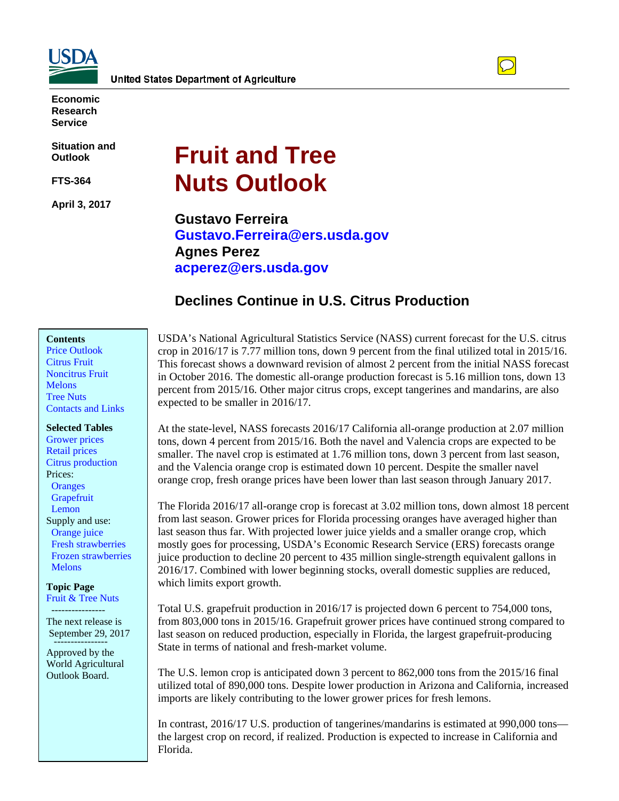



**Economic Research Service**

**Situation and Outlook**

**FTS-364**

**April 3, 2017**

# **Fruit and Tree Nuts Outlook**

**Gustavo Ferreira Gustavo.Ferreira@ers.usda.gov Agnes Perez acperez@ers.usda.gov**

# **Declines Continue in U.S. Citrus Production**

### **Contents**

[Price Outlook](#page-1-0) [Citrus Fruit](#page-4-0) [Noncitrus Fruit](#page-13-0) **[Melons](#page-20-0)** [Tree Nuts](#page-24-0) [Contacts and Links](#page-27-0)

**Selected Tables**

[Grapefruit](#page-10-0) [Grower prices](#page-2-0) [Retail prices](#page-3-0) [Citrus production](#page-5-0)  Prices: **Oranges**  [Lemon](#page-11-0) Supply and use:  [Orange juice](#page-7-0)  [Fresh strawberries](#page-14-0)  [Frozen strawberries](#page-15-0) **Melons** 

**Topic Page** [Fruit & Tree Nuts](https://www.ers.usda.gov/topics/crops/fruit-tree-nuts/)

---------------- The next release is September 29, 2017

Approved by the World Agricultural Outlook Board.

USDA's National Agricultural Statistics Service (NASS) current forecast for the U.S. citrus crop in 2016/17 is 7.77 million tons, down 9 percent from the final utilized total in 2015/16. This forecast shows a downward revision of almost 2 percent from the initial NASS forecast in October 2016. The domestic all-orange production forecast is 5.16 million tons, down 13 percent from 2015/16. Other major citrus crops, except tangerines and mandarins, are also expected to be smaller in 2016/17.

At the state-level, NASS forecasts 2016/17 California all-orange production at 2.07 million tons, down 4 percent from 2015/16. Both the navel and Valencia crops are expected to be smaller. The navel crop is estimated at 1.76 million tons, down 3 percent from last season, and the Valencia orange crop is estimated down 10 percent. Despite the smaller navel orange crop, fresh orange prices have been lower than last season through January 2017.

The Florida 2016/17 all-orange crop is forecast at 3.02 million tons, down almost 18 percent from last season. Grower prices for Florida processing oranges have averaged higher than last season thus far. With projected lower juice yields and a smaller orange crop, which mostly goes for processing, USDA's Economic Research Service (ERS) forecasts orange juice production to decline 20 percent to 435 million single-strength equivalent gallons in 2016/17. Combined with lower beginning stocks, overall domestic supplies are reduced, which limits export growth.

Total U.S. grapefruit production in 2016/17 is projected down 6 percent to 754,000 tons, from 803,000 tons in 2015/16. Grapefruit grower prices have continued strong compared to last season on reduced production, especially in Florida, the largest grapefruit-producing State in terms of national and fresh-market volume.

The U.S. lemon crop is anticipated down 3 percent to 862,000 tons from the 2015/16 final utilized total of 890,000 tons. Despite lower production in Arizona and California, increased imports are likely contributing to the lower grower prices for fresh lemons.

In contrast, 2016/17 U.S. production of tangerines/mandarins is estimated at 990,000 tons the largest crop on record, if realized. Production is expected to increase in California and Florida.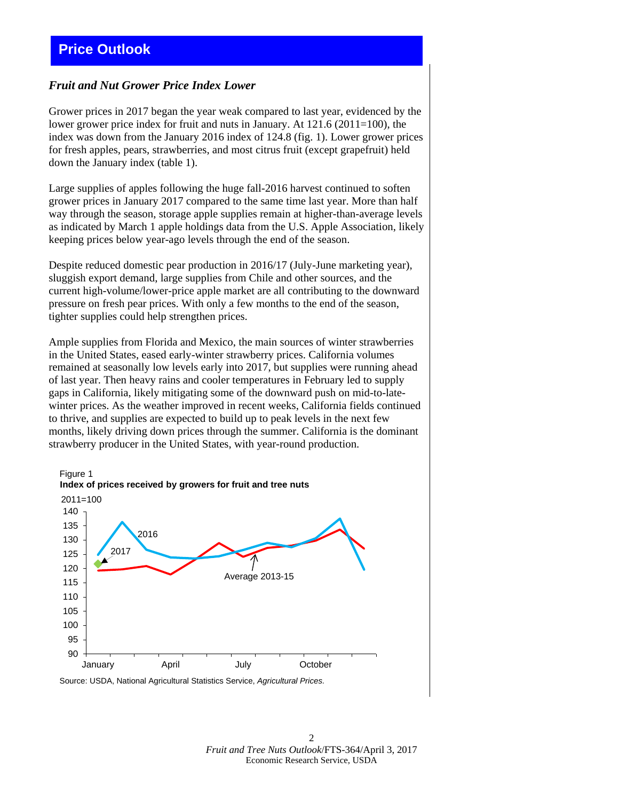# <span id="page-1-0"></span>**Price Outlook**

### *Fruit and Nut Grower Price Index Lower*

Grower prices in 2017 began the year weak compared to last year, evidenced by the lower grower price index for fruit and nuts in January. At  $121.6$  ( $2011=100$ ), the index was down from the January 2016 index of 124.8 (fig. 1). Lower grower prices for fresh apples, pears, strawberries, and most citrus fruit (except grapefruit) held down the January index (table 1).

Large supplies of apples following the huge fall-2016 harvest continued to soften grower prices in January 2017 compared to the same time last year. More than half way through the season, storage apple supplies remain at higher-than-average levels as indicated by March 1 apple holdings data from the U.S. Apple Association, likely keeping prices below year-ago levels through the end of the season.

Despite reduced domestic pear production in 2016/17 (July-June marketing year), sluggish export demand, large supplies from Chile and other sources, and the current high-volume/lower-price apple market are all contributing to the downward pressure on fresh pear prices. With only a few months to the end of the season, tighter supplies could help strengthen prices.

Ample supplies from Florida and Mexico, the main sources of winter strawberries in the United States, eased early-winter strawberry prices. California volumes remained at seasonally low levels early into 2017, but supplies were running ahead of last year. Then heavy rains and cooler temperatures in February led to supply gaps in California, likely mitigating some of the downward push on mid-to-latewinter prices. As the weather improved in recent weeks, California fields continued to thrive, and supplies are expected to build up to peak levels in the next few months, likely driving down prices through the summer. California is the dominant strawberry producer in the United States, with year-round production.



Source: USDA, National Agricultural Statistics Service, *Agricultural Prices.*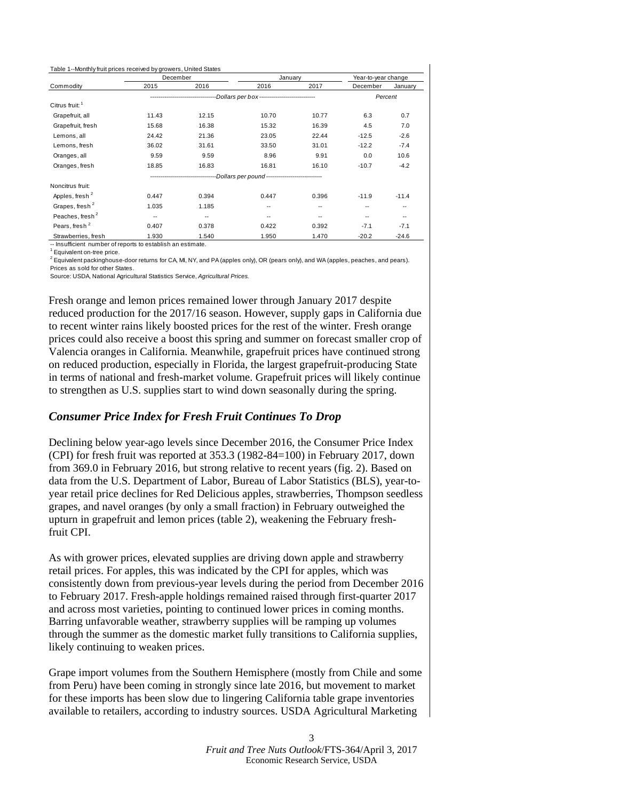<span id="page-2-0"></span>

| Table 1--Monthly fruit prices received by growers, United States |          |                                                                             |         |       |                     |         |
|------------------------------------------------------------------|----------|-----------------------------------------------------------------------------|---------|-------|---------------------|---------|
|                                                                  | December |                                                                             | January |       | Year-to-year change |         |
| Commodity                                                        | 2015     | 2016                                                                        | 2016    | 2017  | December            | January |
|                                                                  |          | --------------------------------Dollars per box---------------------------- |         |       |                     | Percent |
| Citrus fruit: <sup>1</sup>                                       |          |                                                                             |         |       |                     |         |
| Grapefruit, all                                                  | 11.43    | 12.15                                                                       | 10.70   | 10.77 | 6.3                 | 0.7     |
| Grapefruit, fresh                                                | 15.68    | 16.38                                                                       | 15.32   | 16.39 | 4.5                 | 7.0     |
| Lemons, all                                                      | 24.42    | 21.36                                                                       | 23.05   | 22.44 | $-12.5$             | $-2.6$  |
| Lemons, fresh                                                    | 36.02    | 31.61                                                                       | 33.50   | 31.01 | $-12.2$             | $-7.4$  |
| Oranges, all                                                     | 9.59     | 9.59                                                                        | 8.96    | 9.91  | 0.0                 | 10.6    |
| Oranges, fresh                                                   | 18.85    | 16.83                                                                       | 16.81   | 16.10 | $-10.7$             | $-4.2$  |
|                                                                  |          | ---------------------------Dollars per pound ---------------------------    |         |       |                     |         |
| Noncitrus fruit:                                                 |          |                                                                             |         |       |                     |         |
| Apples, fresh <sup>2</sup>                                       | 0.447    | 0.394                                                                       | 0.447   | 0.396 | $-11.9$             | $-11.4$ |
| Grapes, fresh <sup>2</sup>                                       | 1.035    | 1.185                                                                       | --      | --    | --                  | --      |
| Peaches, fresh <sup>2</sup>                                      | --       | --                                                                          | $- -$   | --    | $\overline{a}$      | --      |
| Pears, fresh <sup>2</sup>                                        | 0.407    | 0.378                                                                       | 0.422   | 0.392 | $-7.1$              | $-7.1$  |
| Strawberries, fresh                                              | 1.930    | 1.540                                                                       | 1.950   | 1.470 | $-20.2$             | $-24.6$ |

-- Insufficient number of reports to establish an estimate.

<sup>1</sup> Equivalent on-tree price.

 $^2$  Equivalent packinghouse-door returns for CA, MI, NY, and PA (apples only), OR (pears only), and WA (apples, peaches, and pears). Prices as sold for other States.

Source: USDA, National Agricultural Statistics Service, *Agricultural Prices.*

Fresh orange and lemon prices remained lower through January 2017 despite reduced production for the 2017/16 season. However, supply gaps in California due to recent winter rains likely boosted prices for the rest of the winter. Fresh orange prices could also receive a boost this spring and summer on forecast smaller crop of Valencia oranges in California. Meanwhile, grapefruit prices have continued strong on reduced production, especially in Florida, the largest grapefruit-producing State in terms of national and fresh-market volume. Grapefruit prices will likely continue to strengthen as U.S. supplies start to wind down seasonally during the spring.

### *Consumer Price Index for Fresh Fruit Continues To Drop*

Declining below year-ago levels since December 2016, the Consumer Price Index (CPI) for fresh fruit was reported at 353.3 (1982-84=100) in February 2017, down from 369.0 in February 2016, but strong relative to recent years (fig. 2). Based on data from the U.S. Department of Labor, Bureau of Labor Statistics (BLS), year-toyear retail price declines for Red Delicious apples, strawberries, Thompson seedless grapes, and navel oranges (by only a small fraction) in February outweighed the upturn in grapefruit and lemon prices (table 2), weakening the February freshfruit CPI.

As with grower prices, elevated supplies are driving down apple and strawberry retail prices. For apples, this was indicated by the CPI for apples, which was consistently down from previous-year levels during the period from December 2016 to February 2017. Fresh-apple holdings remained raised through first-quarter 2017 and across most varieties, pointing to continued lower prices in coming months. Barring unfavorable weather, strawberry supplies will be ramping up volumes through the summer as the domestic market fully transitions to California supplies, likely continuing to weaken prices.

Grape import volumes from the Southern Hemisphere (mostly from Chile and some from Peru) have been coming in strongly since late 2016, but movement to market for these imports has been slow due to lingering California table grape inventories available to retailers, according to industry sources. USDA Agricultural Marketing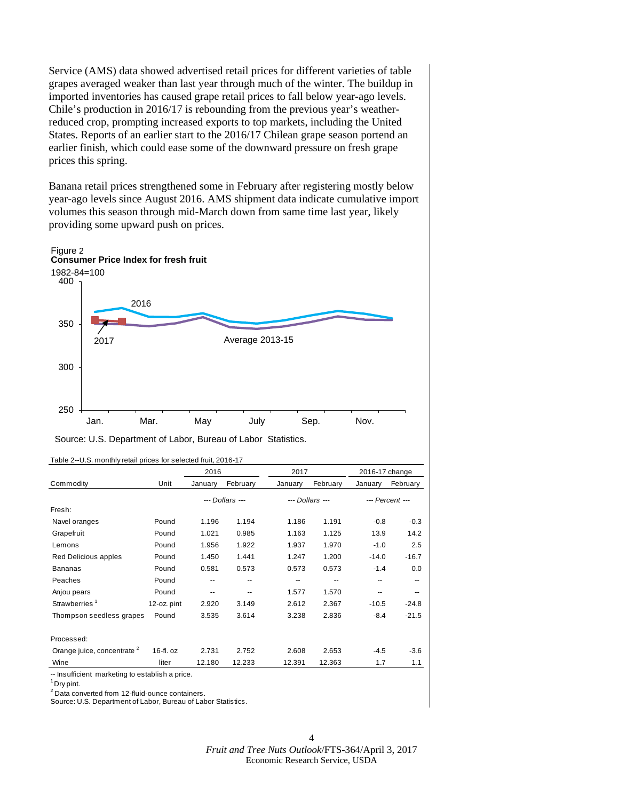<span id="page-3-0"></span>Service (AMS) data showed advertised retail prices for different varieties of table grapes averaged weaker than last year through much of the winter. The buildup in imported inventories has caused grape retail prices to fall below year-ago levels. Chile's production in 2016/17 is rebounding from the previous year's weatherreduced crop, prompting increased exports to top markets, including the United States. Reports of an earlier start to the 2016/17 Chilean grape season portend an earlier finish, which could ease some of the downward pressure on fresh grape prices this spring.

Banana retail prices strengthened some in February after registering mostly below year-ago levels since August 2016. AMS shipment data indicate cumulative import volumes this season through mid-March down from same time last year, likely providing some upward push on prices.



| Source: U.S. Department of Labor, Bureau of Labor Statistics. |  |  |
|---------------------------------------------------------------|--|--|
|---------------------------------------------------------------|--|--|

|                                        |             | 2016    |                 | 2017    |                 | 2016-17 change |                 |
|----------------------------------------|-------------|---------|-----------------|---------|-----------------|----------------|-----------------|
| Commodity                              | Unit        | January | February        | January | February        | January        | February        |
|                                        |             |         | --- Dollars --- |         | --- Dollars --- |                | --- Percent --- |
| Fresh:                                 |             |         |                 |         |                 |                |                 |
| Navel oranges                          | Pound       | 1.196   | 1.194           | 1.186   | 1.191           | $-0.8$         | $-0.3$          |
| Grapefruit                             | Pound       | 1.021   | 0.985           | 1.163   | 1.125           | 13.9           | 14.2            |
| Lemons                                 | Pound       | 1.956   | 1.922           | 1.937   | 1.970           | $-1.0$         | 2.5             |
| Red Delicious apples                   | Pound       | 1.450   | 1.441           | 1.247   | 1.200           | $-14.0$        | $-16.7$         |
| <b>Bananas</b>                         | Pound       | 0.581   | 0.573           | 0.573   | 0.573           | $-1.4$         | 0.0             |
| Peaches                                | Pound       | --      |                 | --      |                 | --             |                 |
| Anjou pears                            | Pound       | --      |                 | 1.577   | 1.570           | $- -$          |                 |
| Strawberries <sup>1</sup>              | 12-oz. pint | 2.920   | 3.149           | 2.612   | 2.367           | $-10.5$        | $-24.8$         |
| Thompson seedless grapes               | Pound       | 3.535   | 3.614           | 3.238   | 2.836           | $-8.4$         | $-21.5$         |
| Processed:                             |             |         |                 |         |                 |                |                 |
| Orange juice, concentrate <sup>2</sup> | $16-fl. oz$ | 2.731   | 2.752           | 2.608   | 2.653           | $-4.5$         | $-3.6$          |
| Wine                                   | liter       | 12.180  | 12.233          | 12.391  | 12.363          | 1.7            | 1.1             |

Table 2--U.S. monthly retail prices for selected fruit, 2016-17

-- Insufficient marketing to establish a price.

1 Dry pint.

<sup>2</sup> Data converted from 12-fluid-ounce containers.

Source: U.S. Department of Labor, Bureau of Labor Statistics.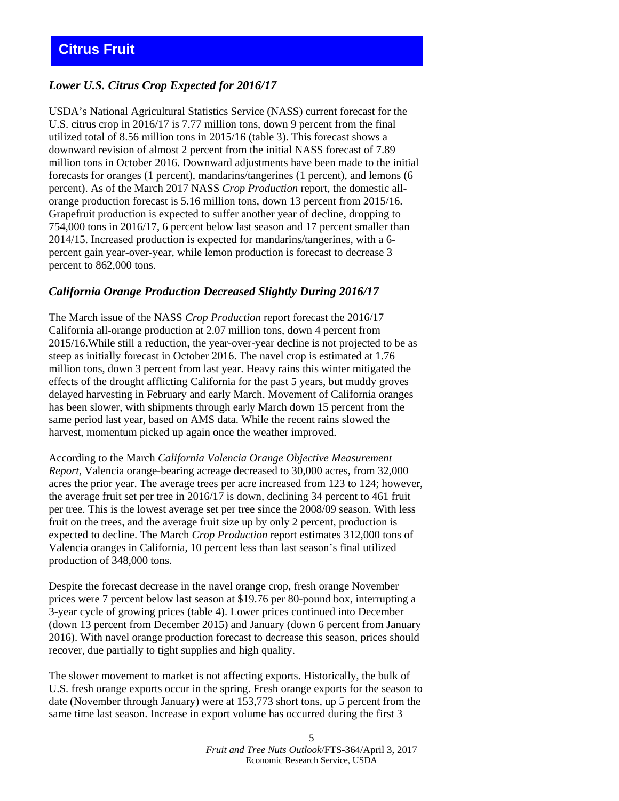# <span id="page-4-0"></span>*Lower U.S. Citrus Crop Expected for 2016/17*

USDA's National Agricultural Statistics Service (NASS) current forecast for the U.S. citrus crop in 2016/17 is 7.77 million tons, down 9 percent from the final utilized total of 8.56 million tons in 2015/16 (table 3). This forecast shows a downward revision of almost 2 percent from the initial NASS forecast of 7.89 million tons in October 2016. Downward adjustments have been made to the initial forecasts for oranges (1 percent), mandarins/tangerines (1 percent), and lemons (6 percent). As of the March 2017 NASS *Crop Production* report, the domestic allorange production forecast is 5.16 million tons, down 13 percent from 2015/16. Grapefruit production is expected to suffer another year of decline, dropping to 754,000 tons in 2016/17, 6 percent below last season and 17 percent smaller than 2014/15. Increased production is expected for mandarins/tangerines, with a 6 percent gain year-over-year, while lemon production is forecast to decrease 3 percent to 862,000 tons.

### *California Orange Production Decreased Slightly During 2016/17*

The March issue of the NASS *Crop Production* report forecast the 2016/17 California all-orange production at 2.07 million tons, down 4 percent from 2015/16.While still a reduction, the year-over-year decline is not projected to be as steep as initially forecast in October 2016. The navel crop is estimated at 1.76 million tons, down 3 percent from last year. Heavy rains this winter mitigated the effects of the drought afflicting California for the past 5 years, but muddy groves delayed harvesting in February and early March. Movement of California oranges has been slower, with shipments through early March down 15 percent from the same period last year, based on AMS data. While the recent rains slowed the harvest, momentum picked up again once the weather improved.

According to the March *California Valencia Orange Objective Measurement Report*, Valencia orange-bearing acreage decreased to 30,000 acres, from 32,000 acres the prior year. The average trees per acre increased from 123 to 124; however, the average fruit set per tree in 2016/17 is down, declining 34 percent to 461 fruit per tree. This is the lowest average set per tree since the 2008/09 season. With less fruit on the trees, and the average fruit size up by only 2 percent, production is expected to decline. The March *Crop Production* report estimates 312,000 tons of Valencia oranges in California, 10 percent less than last season's final utilized production of 348,000 tons.

Despite the forecast decrease in the navel orange crop, fresh orange November prices were 7 percent below last season at \$19.76 per 80-pound box, interrupting a 3-year cycle of growing prices (table 4). Lower prices continued into December (down 13 percent from December 2015) and January (down 6 percent from January 2016). With navel orange production forecast to decrease this season, prices should recover, due partially to tight supplies and high quality.

The slower movement to market is not affecting exports. Historically, the bulk of U.S. fresh orange exports occur in the spring. Fresh orange exports for the season to date (November through January) were at 153,773 short tons, up 5 percent from the same time last season. Increase in export volume has occurred during the first 3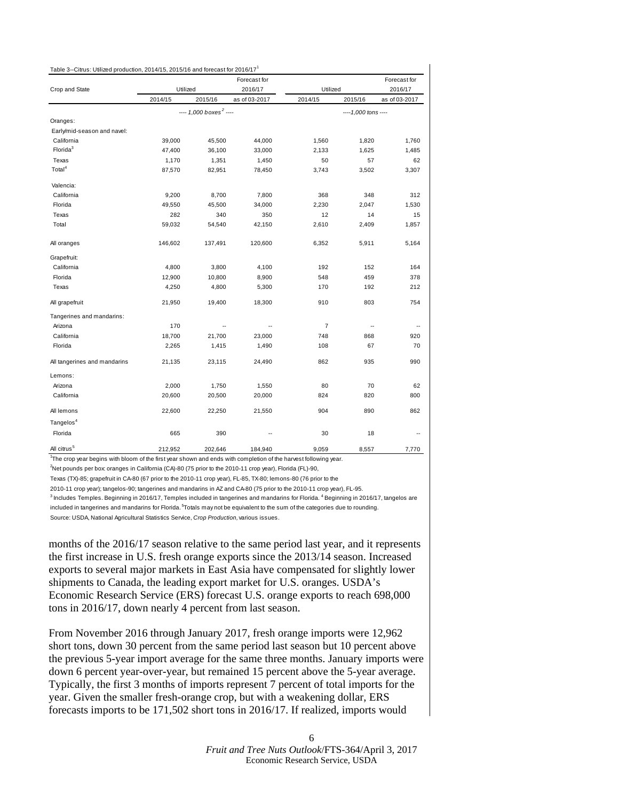<span id="page-5-0"></span>

| Table 3--Citrus: Utilized production, 2014/15, 2015/16 and forecast for 2016/17 |          |                                      |               |                |                     |               |
|---------------------------------------------------------------------------------|----------|--------------------------------------|---------------|----------------|---------------------|---------------|
|                                                                                 |          |                                      | Forecast for  |                |                     | Forecast for  |
| Crop and State                                                                  | Utilized |                                      | 2016/17       | Utilized       |                     | 2016/17       |
|                                                                                 | 2014/15  | 2015/16                              | as of 03-2017 | 2014/15        | 2015/16             | as of 03-2017 |
|                                                                                 |          | $--- 1.000$ boxes <sup>2</sup> $---$ |               |                | ----1,000 tons ---- |               |
| Oranges:                                                                        |          |                                      |               |                |                     |               |
| Early/mid-season and navel:                                                     |          |                                      |               |                |                     |               |
| California                                                                      | 39,000   | 45,500                               | 44,000        | 1,560          | 1,820               | 1,760         |
| Florida <sup>3</sup>                                                            | 47,400   | 36,100                               | 33,000        | 2,133          | 1,625               | 1,485         |
| Texas                                                                           | 1,170    | 1,351                                | 1,450         | 50             | 57                  | 62            |
| Total <sup>4</sup>                                                              | 87,570   | 82,951                               | 78,450        | 3,743          | 3,502               | 3,307         |
| Valencia:                                                                       |          |                                      |               |                |                     |               |
| California                                                                      | 9,200    | 8,700                                | 7,800         | 368            | 348                 | 312           |
| Florida                                                                         | 49,550   | 45,500                               | 34,000        | 2,230          | 2,047               | 1,530         |
| Texas                                                                           | 282      | 340                                  | 350           | 12             | 14                  | 15            |
| Total                                                                           | 59,032   | 54,540                               | 42,150        | 2,610          | 2,409               | 1,857         |
| All oranges                                                                     | 146,602  | 137,491                              | 120,600       | 6,352          | 5,911               | 5,164         |
| Grapefruit:                                                                     |          |                                      |               |                |                     |               |
| California                                                                      | 4,800    | 3,800                                | 4,100         | 192            | 152                 | 164           |
| Florida                                                                         | 12,900   | 10,800                               | 8,900         | 548            | 459                 | 378           |
| Texas                                                                           | 4,250    | 4,800                                | 5,300         | 170            | 192                 | 212           |
| All grapefruit                                                                  | 21,950   | 19,400                               | 18,300        | 910            | 803                 | 754           |
| Tangerines and mandarins:                                                       |          |                                      |               |                |                     |               |
| Arizona                                                                         | 170      | $\overline{a}$                       |               | $\overline{7}$ |                     |               |
| California                                                                      | 18,700   | 21,700                               | 23,000        | 748            | 868                 | 920           |
| Florida                                                                         | 2,265    | 1,415                                | 1,490         | 108            | 67                  | 70            |
| All tangerines and mandarins                                                    | 21,135   | 23,115                               | 24,490        | 862            | 935                 | 990           |
| Lemons:                                                                         |          |                                      |               |                |                     |               |
| Arizona                                                                         | 2,000    | 1,750                                | 1,550         | 80             | 70                  | 62            |
| California                                                                      | 20,600   | 20,500                               | 20,000        | 824            | 820                 | 800           |
| All lemons                                                                      | 22,600   | 22,250                               | 21,550        | 904            | 890                 | 862           |
| Tangelos <sup>4</sup>                                                           |          |                                      |               |                |                     |               |
| Florida                                                                         | 665      | 390                                  |               | 30             | 18                  |               |
| All citrus <sup>5</sup>                                                         | 212,952  | 202,646                              | 184,940       | 9,059          | 8,557               | 7,770         |

1 The crop year begins with bloom of the first year shown and ends with completion of the harvest following year.

2 Net pounds per box: oranges in California (CA)-80 (75 prior to the 2010-11 crop year), Florida (FL)-90,

Texas (TX)-85; grapefruit in CA-80 (67 prior to the 2010-11 crop year), FL-85, TX-80; lemons-80 (76 prior to the

2010-11 crop year); tangelos-90; tangerines and mandarins in AZ and CA-80 (75 prior to the 2010-11 crop year), FL-95.  $^3$  Includes Temples. Beginning in 2016/17, Temples included in tangerines and mandarins for Florida.  $^4$  Beginning in 2016/17, tangelos are

included in tangerines and mandarins for Florida. <sup>5</sup>Totals may not be equivalent to the sum of the categories due to rounding. Source: USDA, National Agricultural Statistics Service, *Crop Production,* various issues.

months of the 2016/17 season relative to the same period last year, and it represents the first increase in U.S. fresh orange exports since the 2013/14 season. Increased exports to several major markets in East Asia have compensated for slightly lower shipments to Canada, the leading export market for U.S. oranges. USDA's Economic Research Service (ERS) forecast U.S. orange exports to reach 698,000 tons in 2016/17, down nearly 4 percent from last season.

From November 2016 through January 2017, fresh orange imports were 12,962 short tons, down 30 percent from the same period last season but 10 percent above the previous 5-year import average for the same three months. January imports were down 6 percent year-over-year, but remained 15 percent above the 5-year average. Typically, the first 3 months of imports represent 7 percent of total imports for the year. Given the smaller fresh-orange crop, but with a weakening dollar, ERS forecasts imports to be 171,502 short tons in 2016/17. If realized, imports would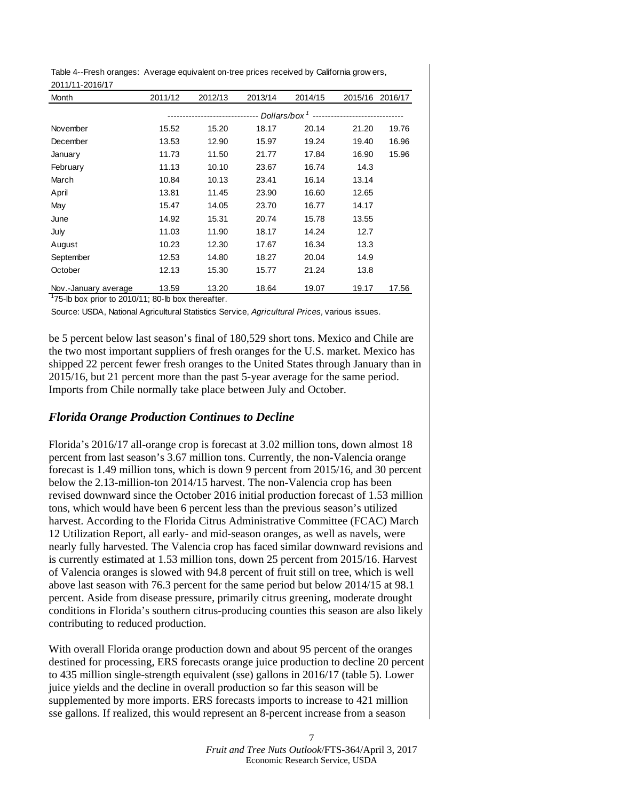<span id="page-6-0"></span>Table 4--Fresh oranges: Average equivalent on-tree prices received by California grow ers, 2011/11-2016/17

| 2011/11 2010/1 <i>1</i><br>Month | 2011/12 | 2012/13 | 2013/14 | 2014/15 |       | 2015/16 2016/17 |
|----------------------------------|---------|---------|---------|---------|-------|-----------------|
|                                  |         |         |         |         |       |                 |
| November                         | 15.52   | 15.20   | 18.17   | 20.14   | 21.20 | 19.76           |
| December                         | 13.53   | 12.90   | 15.97   | 19.24   | 19.40 | 16.96           |
| January                          | 11.73   | 11.50   | 21.77   | 17.84   | 16.90 | 15.96           |
| February                         | 11.13   | 10.10   | 23.67   | 16.74   | 14.3  |                 |
| March                            | 10.84   | 10.13   | 23.41   | 16.14   | 13.14 |                 |
| April                            | 13.81   | 11.45   | 23.90   | 16.60   | 12.65 |                 |
| May                              | 15.47   | 14.05   | 23.70   | 16.77   | 14.17 |                 |
| June                             | 14.92   | 15.31   | 20.74   | 15.78   | 13.55 |                 |
| July                             | 11.03   | 11.90   | 18.17   | 14.24   | 12.7  |                 |
| August                           | 10.23   | 12.30   | 17.67   | 16.34   | 13.3  |                 |
| September                        | 12.53   | 14.80   | 18.27   | 20.04   | 14.9  |                 |
| October                          | 12.13   | 15.30   | 15.77   | 21.24   | 13.8  |                 |
| Nov.-January average             | 13.59   | 13.20   | 18.64   | 19.07   | 19.17 | 17.56           |

<sup>1</sup>75-lb box prior to 2010/11; 80-lb box thereafter.

Source: USDA, National Agricultural Statistics Service, *Agricultural Prices,* various issues.

be 5 percent below last season's final of 180,529 short tons. Mexico and Chile are the two most important suppliers of fresh oranges for the U.S. market. Mexico has shipped 22 percent fewer fresh oranges to the United States through January than in 2015/16, but 21 percent more than the past 5-year average for the same period. Imports from Chile normally take place between July and October.

### *Florida Orange Production Continues to Decline*

Florida's 2016/17 all-orange crop is forecast at 3.02 million tons, down almost 18 percent from last season's 3.67 million tons. Currently, the non-Valencia orange forecast is 1.49 million tons, which is down 9 percent from 2015/16, and 30 percent below the 2.13-million-ton 2014/15 harvest. The non-Valencia crop has been revised downward since the October 2016 initial production forecast of 1.53 million tons, which would have been 6 percent less than the previous season's utilized harvest. According to the Florida Citrus Administrative Committee (FCAC) March 12 Utilization Report, all early- and mid-season oranges, as well as navels, were nearly fully harvested. The Valencia crop has faced similar downward revisions and is currently estimated at 1.53 million tons, down 25 percent from 2015/16. Harvest of Valencia oranges is slowed with 94.8 percent of fruit still on tree, which is well above last season with 76.3 percent for the same period but below 2014/15 at 98.1 percent. Aside from disease pressure, primarily citrus greening, moderate drought conditions in Florida's southern citrus-producing counties this season are also likely contributing to reduced production.

With overall Florida orange production down and about 95 percent of the oranges destined for processing, ERS forecasts orange juice production to decline 20 percent to 435 million single-strength equivalent (sse) gallons in 2016/17 (table 5). Lower juice yields and the decline in overall production so far this season will be supplemented by more imports. ERS forecasts imports to increase to 421 million sse gallons. If realized, this would represent an 8-percent increase from a season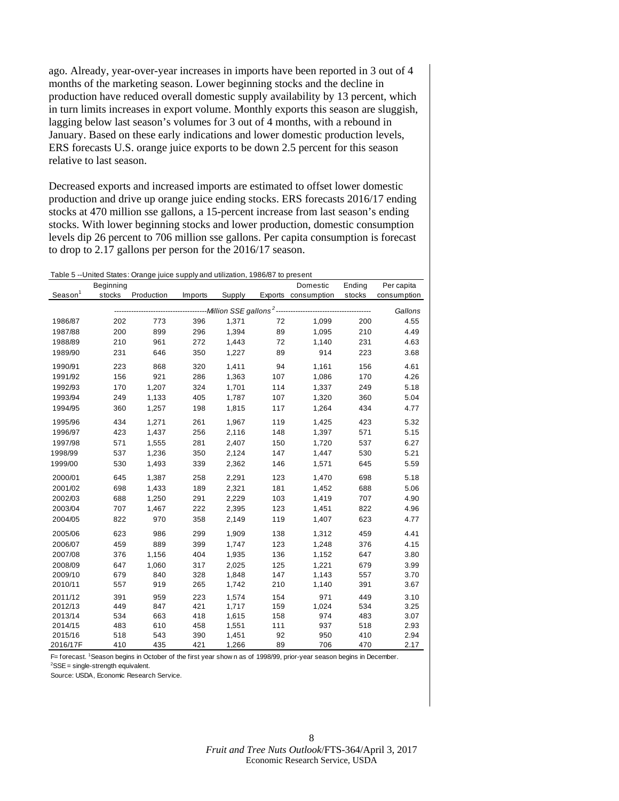<span id="page-7-0"></span>ago. Already, year-over-year increases in imports have been reported in 3 out of 4 months of the marketing season. Lower beginning stocks and the decline in production have reduced overall domestic supply availability by 13 percent, which in turn limits increases in export volume. Monthly exports this season are sluggish, lagging below last season's volumes for 3 out of 4 months, with a rebound in January. Based on these early indications and lower domestic production levels, ERS forecasts U.S. orange juice exports to be down 2.5 percent for this season relative to last season.

Decreased exports and increased imports are estimated to offset lower domestic production and drive up orange juice ending stocks. ERS forecasts 2016/17 ending stocks at 470 million sse gallons, a 15-percent increase from last season's ending stocks. With lower beginning stocks and lower production, domestic consumption levels dip 26 percent to 706 million sse gallons. Per capita consumption is forecast to drop to 2.17 gallons per person for the 2016/17 season.

|                     |           | Table 5 --United States: Orange juice supply and utilization, 1986/87 to present |         |                                                         |     |                     |        |             |
|---------------------|-----------|----------------------------------------------------------------------------------|---------|---------------------------------------------------------|-----|---------------------|--------|-------------|
|                     | Beginning |                                                                                  |         |                                                         |     | Domestic            | Ending | Per capita  |
| Season <sup>1</sup> | stocks    | Production                                                                       | Imports | Supply                                                  |     | Exports consumption | stocks | consumption |
|                     |           |                                                                                  |         | -----------Million SSE gallons <sup>2</sup> ----------- |     |                     |        | Gallons     |
| 1986/87             | 202       | 773                                                                              | 396     | 1,371                                                   | 72  | 1,099               | 200    | 4.55        |
| 1987/88             | 200       | 899                                                                              | 296     | 1,394                                                   | 89  | 1,095               | 210    | 4.49        |
| 1988/89             | 210       | 961                                                                              | 272     | 1,443                                                   | 72  | 1.140               | 231    | 4.63        |
| 1989/90             | 231       | 646                                                                              | 350     | 1,227                                                   | 89  | 914                 | 223    | 3.68        |
| 1990/91             | 223       | 868                                                                              | 320     | 1,411                                                   | 94  | 1,161               | 156    | 4.61        |
| 1991/92             | 156       | 921                                                                              | 286     | 1,363                                                   | 107 | 1,086               | 170    | 4.26        |
| 1992/93             | 170       | 1,207                                                                            | 324     | 1,701                                                   | 114 | 1,337               | 249    | 5.18        |
| 1993/94             | 249       | 1,133                                                                            | 405     | 1,787                                                   | 107 | 1,320               | 360    | 5.04        |
| 1994/95             | 360       | 1,257                                                                            | 198     | 1,815                                                   | 117 | 1,264               | 434    | 4.77        |
| 1995/96             | 434       | 1,271                                                                            | 261     | 1,967                                                   | 119 | 1,425               | 423    | 5.32        |
| 1996/97             | 423       | 1,437                                                                            | 256     | 2,116                                                   | 148 | 1,397               | 571    | 5.15        |
| 1997/98             | 571       | 1,555                                                                            | 281     | 2,407                                                   | 150 | 1.720               | 537    | 6.27        |
| 1998/99             | 537       | 1,236                                                                            | 350     | 2,124                                                   | 147 | 1,447               | 530    | 5.21        |
| 1999/00             | 530       | 1,493                                                                            | 339     | 2,362                                                   | 146 | 1,571               | 645    | 5.59        |
| 2000/01             | 645       | 1,387                                                                            | 258     | 2,291                                                   | 123 | 1,470               | 698    | 5.18        |
| 2001/02             | 698       | 1,433                                                                            | 189     | 2,321                                                   | 181 | 1,452               | 688    | 5.06        |
| 2002/03             | 688       | 1,250                                                                            | 291     | 2,229                                                   | 103 | 1,419               | 707    | 4.90        |
| 2003/04             | 707       | 1.467                                                                            | 222     | 2,395                                                   | 123 | 1.451               | 822    | 4.96        |
| 2004/05             | 822       | 970                                                                              | 358     | 2,149                                                   | 119 | 1,407               | 623    | 4.77        |
| 2005/06             | 623       | 986                                                                              | 299     | 1,909                                                   | 138 | 1,312               | 459    | 4.41        |
| 2006/07             | 459       | 889                                                                              | 399     | 1,747                                                   | 123 | 1,248               | 376    | 4.15        |
| 2007/08             | 376       | 1,156                                                                            | 404     | 1,935                                                   | 136 | 1,152               | 647    | 3.80        |
| 2008/09             | 647       | 1,060                                                                            | 317     | 2,025                                                   | 125 | 1,221               | 679    | 3.99        |
| 2009/10             | 679       | 840                                                                              | 328     | 1,848                                                   | 147 | 1,143               | 557    | 3.70        |
| 2010/11             | 557       | 919                                                                              | 265     | 1,742                                                   | 210 | 1,140               | 391    | 3.67        |
| 2011/12             | 391       | 959                                                                              | 223     | 1,574                                                   | 154 | 971                 | 449    | 3.10        |
| 2012/13             | 449       | 847                                                                              | 421     | 1,717                                                   | 159 | 1,024               | 534    | 3.25        |
| 2013/14             | 534       | 663                                                                              | 418     | 1,615                                                   | 158 | 974                 | 483    | 3.07        |
| 2014/15             | 483       | 610                                                                              | 458     | 1,551                                                   | 111 | 937                 | 518    | 2.93        |
| 2015/16             | 518       | 543                                                                              | 390     | 1,451                                                   | 92  | 950                 | 410    | 2.94        |
| 2016/17F            | 410       | 435                                                                              | 421     | 1,266                                                   | 89  | 706                 | 470    | 2.17        |

F= forecast. <sup>1</sup>Season begins in October of the first year show n as of 1998/99, prior-year season begins in December.  ${}^{2}$ SSE = single-strength equivalent.

Source: USDA, Economic Research Service.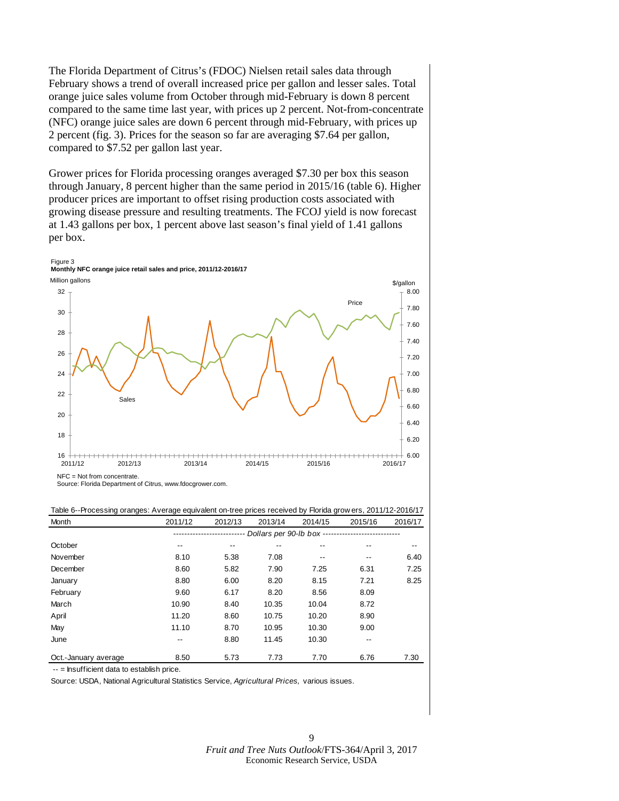The Florida Department of Citrus's (FDOC) Nielsen retail sales data through February shows a trend of overall increased price per gallon and lesser sales. Total orange juice sales volume from October through mid-February is down 8 percent compared to the same time last year, with prices up 2 percent. Not-from-concentrate (NFC) orange juice sales are down 6 percent through mid-February, with prices up 2 percent (fig. 3). Prices for the season so far are averaging \$7.64 per gallon, compared to \$7.52 per gallon last year.

Grower prices for Florida processing oranges averaged \$7.30 per box this season through January, 8 percent higher than the same period in 2015/16 (table 6). Higher producer prices are important to offset rising production costs associated with growing disease pressure and resulting treatments. The FCOJ yield is now forecast at 1.43 gallons per box, 1 percent above last season's final yield of 1.41 gallons per box.



 $NFC = Not from concentrate$ 

Source: Florida Department of Citrus, www.fdocgrower.com.

| Month                | 2011/12 | 2012/13 | 2013/14 | 2014/15 | 2015/16                                       | 2016/17 |
|----------------------|---------|---------|---------|---------|-----------------------------------------------|---------|
|                      |         |         |         |         | Dollars per 90-lb box ----------------------- |         |
| October              | --      | $- -$   |         |         |                                               | --      |
| November             | 8.10    | 5.38    | 7.08    | $- -$   | --                                            | 6.40    |
| December             | 8.60    | 5.82    | 7.90    | 7.25    | 6.31                                          | 7.25    |
| January              | 8.80    | 6.00    | 8.20    | 8.15    | 7.21                                          | 8.25    |
| February             | 9.60    | 6.17    | 8.20    | 8.56    | 8.09                                          |         |
| March                | 10.90   | 8.40    | 10.35   | 10.04   | 8.72                                          |         |
| April                | 11.20   | 8.60    | 10.75   | 10.20   | 8.90                                          |         |
| May                  | 11.10   | 8.70    | 10.95   | 10.30   | 9.00                                          |         |
| June                 | --      | 8.80    | 11.45   | 10.30   | --                                            |         |
| Oct.-January average | 8.50    | 5.73    | 7.73    | 7.70    | 6.76                                          | 7.30    |

Table 6--Processing oranges: Average equivalent on-tree prices received by Florida grow ers, 2011/12-2016/17

-- = Insufficient data to establish price.

Source: USDA, National Agricultural Statistics Service, *Agricultural Prices,* various issues.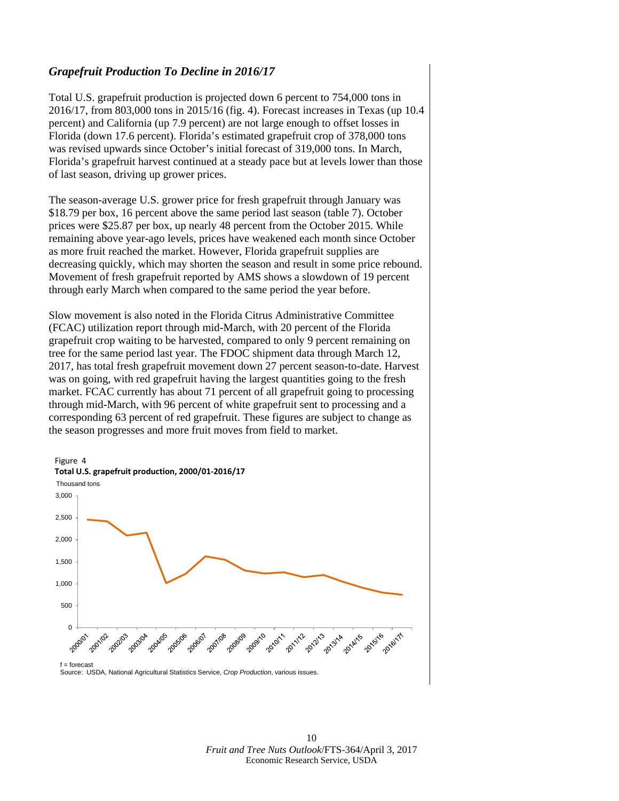### *Grapefruit Production To Decline in 2016/17*

Total U.S. grapefruit production is projected down 6 percent to 754,000 tons in 2016/17, from 803,000 tons in 2015/16 (fig. 4). Forecast increases in Texas (up 10.4 percent) and California (up 7.9 percent) are not large enough to offset losses in Florida (down 17.6 percent). Florida's estimated grapefruit crop of 378,000 tons was revised upwards since October's initial forecast of 319,000 tons. In March, Florida's grapefruit harvest continued at a steady pace but at levels lower than those of last season, driving up grower prices.

The season-average U.S. grower price for fresh grapefruit through January was \$18.79 per box, 16 percent above the same period last season (table 7). October prices were \$25.87 per box, up nearly 48 percent from the October 2015. While remaining above year-ago levels, prices have weakened each month since October as more fruit reached the market. However, Florida grapefruit supplies are decreasing quickly, which may shorten the season and result in some price rebound. Movement of fresh grapefruit reported by AMS shows a slowdown of 19 percent through early March when compared to the same period the year before.

Slow movement is also noted in the Florida Citrus Administrative Committee (FCAC) utilization report through mid-March, with 20 percent of the Florida grapefruit crop waiting to be harvested, compared to only 9 percent remaining on tree for the same period last year. The FDOC shipment data through March 12, 2017, has total fresh grapefruit movement down 27 percent season-to-date. Harvest was on going, with red grapefruit having the largest quantities going to the fresh market. FCAC currently has about 71 percent of all grapefruit going to processing through mid-March, with 96 percent of white grapefruit sent to processing and a corresponding 63 percent of red grapefruit. These figures are subject to change as the season progresses and more fruit moves from field to market.



Source: USDA, National Agricultural Statistics Service, *Crop Production*, various issues.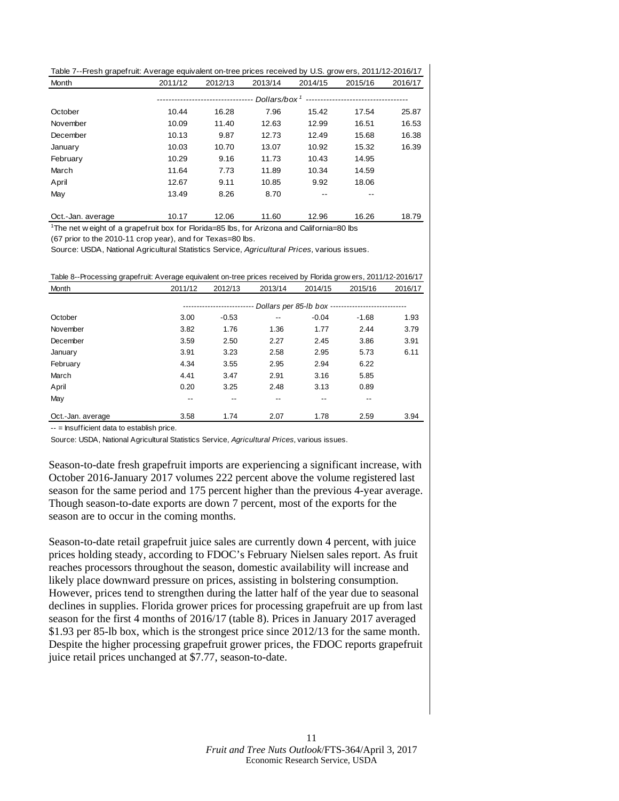<span id="page-10-0"></span>

| Table 7--Fresh grapefruit: Average equivalent on-tree prices received by U.S. grow ers, 2011/12-2016/17 |         |                               |         |         |         |         |
|---------------------------------------------------------------------------------------------------------|---------|-------------------------------|---------|---------|---------|---------|
| Month                                                                                                   | 2011/12 | 2012/13                       | 2013/14 | 2014/15 | 2015/16 | 2016/17 |
|                                                                                                         |         | ----------------------------- |         |         |         |         |
| October                                                                                                 | 10.44   | 16.28                         | 7.96    | 15.42   | 17.54   | 25.87   |
| November                                                                                                | 10.09   | 11.40                         | 12.63   | 12.99   | 16.51   | 16.53   |
| December                                                                                                | 10.13   | 9.87                          | 12.73   | 12.49   | 15.68   | 16.38   |
| January                                                                                                 | 10.03   | 10.70                         | 13.07   | 10.92   | 15.32   | 16.39   |
| February                                                                                                | 10.29   | 9.16                          | 11.73   | 10.43   | 14.95   |         |
| March                                                                                                   | 11.64   | 7.73                          | 11.89   | 10.34   | 14.59   |         |
| April                                                                                                   | 12.67   | 9.11                          | 10.85   | 9.92    | 18.06   |         |
| May                                                                                                     | 13.49   | 8.26                          | 8.70    | --      |         |         |
|                                                                                                         |         |                               |         |         |         |         |

Oct.-Jan. average 10.17 12.06 11.60 12.96 16.26 18.79 <sup>1</sup>The net w eight of a grapefruit box for Florida=85 lbs, for Arizona and California=80 lbs

(67 prior to the 2010-11 crop year), and for Texas=80 lbs.

Source: USDA, National Agricultural Statistics Service, *Agricultural Prices,* various issues.

Table 8--Processing grapefruit: Average equivalent on-tree prices received by Florida grow ers, 2011/12-2016/17

| Month             | 2011/12 | 2012/13 | 2013/14                  | 2014/15 | 2015/16                                            | 2016/17 |
|-------------------|---------|---------|--------------------------|---------|----------------------------------------------------|---------|
|                   |         |         |                          |         | Dollars per 85-lb box ---------------------------- |         |
| October           | 3.00    | $-0.53$ | $\overline{\phantom{a}}$ | $-0.04$ | $-1.68$                                            | 1.93    |
| November          | 3.82    | 1.76    | 1.36                     | 1.77    | 2.44                                               | 3.79    |
| December          | 3.59    | 2.50    | 2.27                     | 2.45    | 3.86                                               | 3.91    |
| January           | 3.91    | 3.23    | 2.58                     | 2.95    | 5.73                                               | 6.11    |
| February          | 4.34    | 3.55    | 2.95                     | 2.94    | 6.22                                               |         |
| March             | 4.41    | 3.47    | 2.91                     | 3.16    | 5.85                                               |         |
| April             | 0.20    | 3.25    | 2.48                     | 3.13    | 0.89                                               |         |
| May               | --      | --      | $- -$                    | $- -$   | $- -$                                              |         |
| Oct.-Jan. average | 3.58    | 1.74    | 2.07                     | 1.78    | 2.59                                               | 3.94    |

 $-$  = Insufficient data to establish price.

Source: USDA, National Agricultural Statistics Service, *Agricultural Prices,* various issues.

Season-to-date fresh grapefruit imports are experiencing a significant increase, with October 2016-January 2017 volumes 222 percent above the volume registered last season for the same period and 175 percent higher than the previous 4-year average. Though season-to-date exports are down 7 percent, most of the exports for the season are to occur in the coming months.

Season-to-date retail grapefruit juice sales are currently down 4 percent, with juice prices holding steady, according to FDOC's February Nielsen sales report. As fruit reaches processors throughout the season, domestic availability will increase and likely place downward pressure on prices, assisting in bolstering consumption. However, prices tend to strengthen during the latter half of the year due to seasonal declines in supplies. Florida grower prices for processing grapefruit are up from last season for the first 4 months of 2016/17 (table 8). Prices in January 2017 averaged \$1.93 per 85-lb box, which is the strongest price since 2012/13 for the same month. Despite the higher processing grapefruit grower prices, the FDOC reports grapefruit juice retail prices unchanged at \$7.77, season-to-date.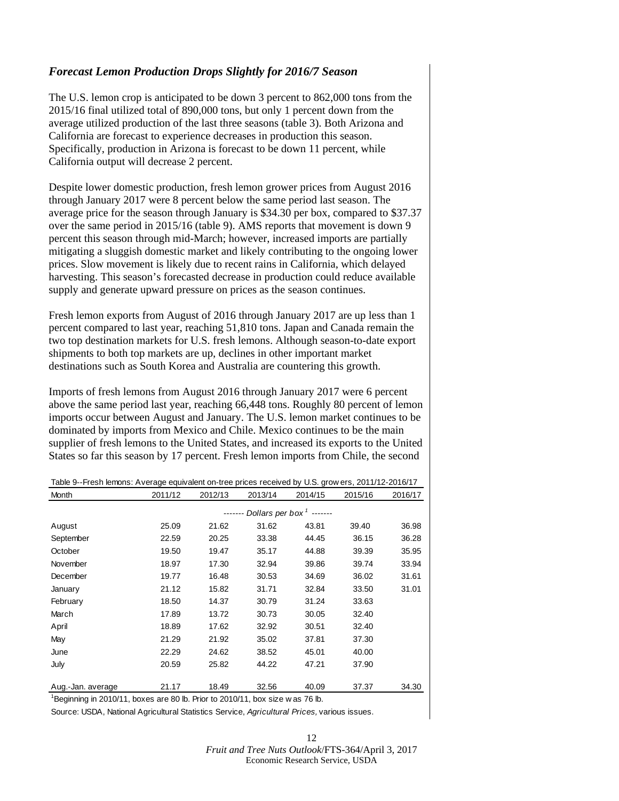# <span id="page-11-0"></span>*Forecast Lemon Production Drops Slightly for 2016/7 Season*

The U.S. lemon crop is anticipated to be down 3 percent to 862,000 tons from the 2015/16 final utilized total of 890,000 tons, but only 1 percent down from the average utilized production of the last three seasons (table 3). Both Arizona and California are forecast to experience decreases in production this season. Specifically, production in Arizona is forecast to be down 11 percent, while California output will decrease 2 percent.

Despite lower domestic production, fresh lemon grower prices from August 2016 through January 2017 were 8 percent below the same period last season. The average price for the season through January is \$34.30 per box, compared to \$37.37 over the same period in 2015/16 (table 9). AMS reports that movement is down 9 percent this season through mid-March; however, increased imports are partially mitigating a sluggish domestic market and likely contributing to the ongoing lower prices. Slow movement is likely due to recent rains in California, which delayed harvesting. This season's forecasted decrease in production could reduce available supply and generate upward pressure on prices as the season continues.

Fresh lemon exports from August of 2016 through January 2017 are up less than 1 percent compared to last year, reaching 51,810 tons. Japan and Canada remain the two top destination markets for U.S. fresh lemons. Although season-to-date export shipments to both top markets are up, declines in other important market destinations such as South Korea and Australia are countering this growth.

Imports of fresh lemons from August 2016 through January 2017 were 6 percent above the same period last year, reaching 66,448 tons. Roughly 80 percent of lemon imports occur between August and January. The U.S. lemon market continues to be dominated by imports from Mexico and Chile. Mexico continues to be the main supplier of fresh lemons to the United States, and increased its exports to the United States so far this season by 17 percent. Fresh lemon imports from Chile, the second

| Table 9--Fresh lemons: Average equivalent on-tree prices received by U.S. grow ers, 2011/12-2016/17 |         |         |                                              |         |         |         |
|-----------------------------------------------------------------------------------------------------|---------|---------|----------------------------------------------|---------|---------|---------|
| Month                                                                                               | 2011/12 | 2012/13 | 2013/14                                      | 2014/15 | 2015/16 | 2016/17 |
|                                                                                                     |         |         | ------- Dollars per box <sup>1</sup> ------- |         |         |         |
| August                                                                                              | 25.09   | 21.62   | 31.62                                        | 43.81   | 39.40   | 36.98   |
| September                                                                                           | 22.59   | 20.25   | 33.38                                        | 44.45   | 36.15   | 36.28   |
| October                                                                                             | 19.50   | 19.47   | 35.17                                        | 44.88   | 39.39   | 35.95   |
| November                                                                                            | 18.97   | 17.30   | 32.94                                        | 39.86   | 39.74   | 33.94   |
| December                                                                                            | 19.77   | 16.48   | 30.53                                        | 34.69   | 36.02   | 31.61   |
| January                                                                                             | 21.12   | 15.82   | 31.71                                        | 32.84   | 33.50   | 31.01   |
| February                                                                                            | 18.50   | 14.37   | 30.79                                        | 31.24   | 33.63   |         |
| March                                                                                               | 17.89   | 13.72   | 30.73                                        | 30.05   | 32.40   |         |
| April                                                                                               | 18.89   | 17.62   | 32.92                                        | 30.51   | 32.40   |         |
| May                                                                                                 | 21.29   | 21.92   | 35.02                                        | 37.81   | 37.30   |         |
| June                                                                                                | 22.29   | 24.62   | 38.52                                        | 45.01   | 40.00   |         |
| July                                                                                                | 20.59   | 25.82   | 44.22                                        | 47.21   | 37.90   |         |
|                                                                                                     |         |         |                                              |         |         |         |
| Aug.-Jan. average                                                                                   | 21.17   | 18.49   | 32.56                                        | 40.09   | 37.37   | 34.30   |

 $^1$ Beginning in 2010/11, boxes are 80 lb. Prior to 2010/11, box size w as 76 lb.

Source: USDA, National Agricultural Statistics Service, *Agricultural Prices,* various issues.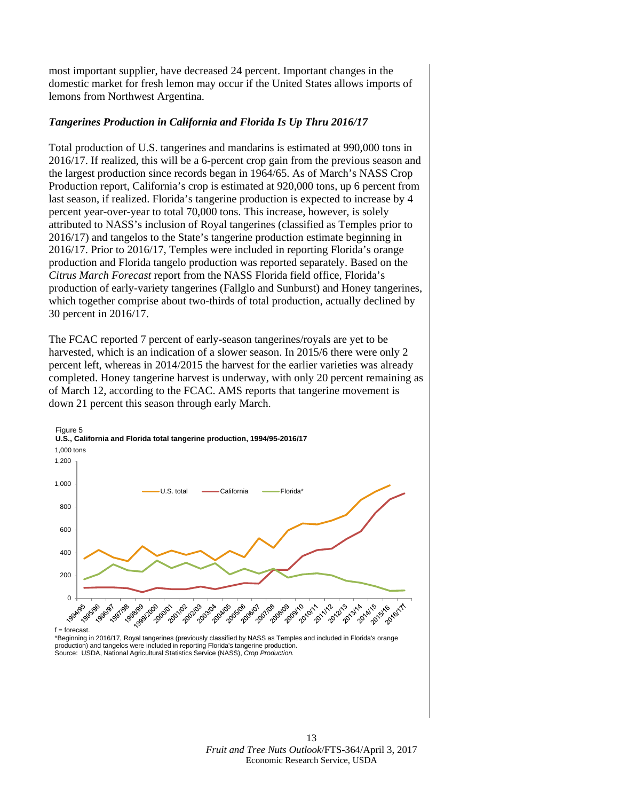most important supplier, have decreased 24 percent. Important changes in the domestic market for fresh lemon may occur if the United States allows imports of lemons from Northwest Argentina.

### *Tangerines Production in California and Florida Is Up Thru 2016/17*

Total production of U.S. tangerines and mandarins is estimated at 990,000 tons in 2016/17. If realized, this will be a 6-percent crop gain from the previous season and the largest production since records began in 1964/65. As of March's NASS Crop Production report, California's crop is estimated at 920,000 tons, up 6 percent from last season, if realized. Florida's tangerine production is expected to increase by 4 percent year-over-year to total 70,000 tons. This increase, however, is solely attributed to NASS's inclusion of Royal tangerines (classified as Temples prior to 2016/17) and tangelos to the State's tangerine production estimate beginning in 2016/17. Prior to 2016/17, Temples were included in reporting Florida's orange production and Florida tangelo production was reported separately. Based on the *Citrus March Forecast* report from the NASS Florida field office, Florida's production of early-variety tangerines (Fallglo and Sunburst) and Honey tangerines, which together comprise about two-thirds of total production, actually declined by 30 percent in 2016/17.

The FCAC reported 7 percent of early-season tangerines/royals are yet to be harvested, which is an indication of a slower season. In 2015/6 there were only 2 percent left, whereas in 2014/2015 the harvest for the earlier varieties was already completed. Honey tangerine harvest is underway, with only 20 percent remaining as of March 12, according to the FCAC. AMS reports that tangerine movement is down 21 percent this season through early March.



\*Beginning in 2016/17, Royal tangerines (previously classified by NASS as Temples and included in Florida's orange production) and tangelos were included in reporting Florida's tangerine production. Source: USDA, National Agricultural Statistics Service (NASS), *Crop Production.*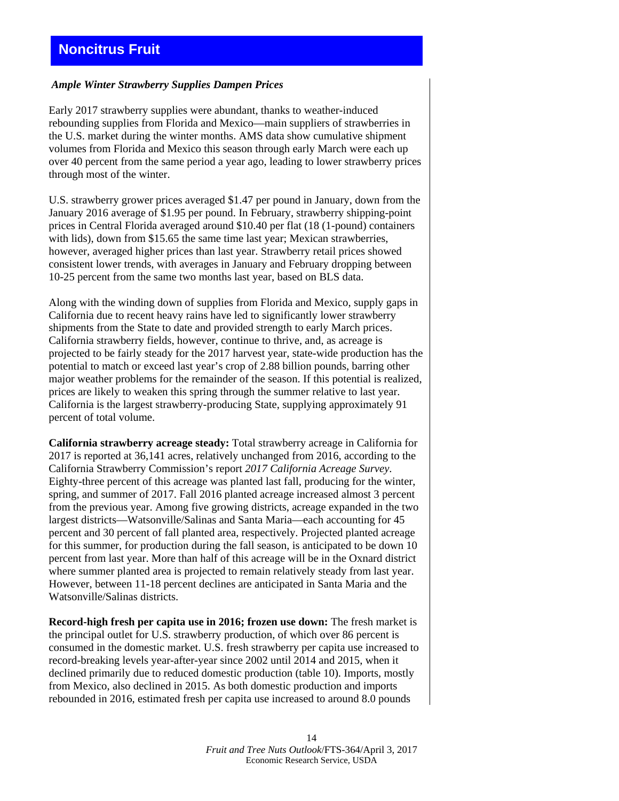### <span id="page-13-0"></span>*Ample Winter Strawberry Supplies Dampen Prices*

Early 2017 strawberry supplies were abundant, thanks to weather-induced rebounding supplies from Florida and Mexico—main suppliers of strawberries in the U.S. market during the winter months. AMS data show cumulative shipment volumes from Florida and Mexico this season through early March were each up over 40 percent from the same period a year ago, leading to lower strawberry prices through most of the winter.

U.S. strawberry grower prices averaged \$1.47 per pound in January, down from the January 2016 average of \$1.95 per pound. In February, strawberry shipping-point prices in Central Florida averaged around \$10.40 per flat (18 (1-pound) containers with lids), down from \$15.65 the same time last year; Mexican strawberries, however, averaged higher prices than last year. Strawberry retail prices showed consistent lower trends, with averages in January and February dropping between 10-25 percent from the same two months last year, based on BLS data.

Along with the winding down of supplies from Florida and Mexico, supply gaps in California due to recent heavy rains have led to significantly lower strawberry shipments from the State to date and provided strength to early March prices. California strawberry fields, however, continue to thrive, and, as acreage is projected to be fairly steady for the 2017 harvest year, state-wide production has the potential to match or exceed last year's crop of 2.88 billion pounds, barring other major weather problems for the remainder of the season. If this potential is realized, prices are likely to weaken this spring through the summer relative to last year. California is the largest strawberry-producing State, supplying approximately 91 percent of total volume.

**California strawberry acreage steady:** Total strawberry acreage in California for 2017 is reported at 36,141 acres, relatively unchanged from 2016, according to the California Strawberry Commission's report *2017 California Acreage Survey*. Eighty-three percent of this acreage was planted last fall, producing for the winter, spring, and summer of 2017. Fall 2016 planted acreage increased almost 3 percent from the previous year. Among five growing districts, acreage expanded in the two largest districts—Watsonville/Salinas and Santa Maria—each accounting for 45 percent and 30 percent of fall planted area, respectively. Projected planted acreage for this summer, for production during the fall season, is anticipated to be down 10 percent from last year. More than half of this acreage will be in the Oxnard district where summer planted area is projected to remain relatively steady from last year. However, between 11-18 percent declines are anticipated in Santa Maria and the Watsonville/Salinas districts.

**Record-high fresh per capita use in 2016; frozen use down:** The fresh market is the principal outlet for U.S. strawberry production, of which over 86 percent is consumed in the domestic market. U.S. fresh strawberry per capita use increased to record-breaking levels year-after-year since 2002 until 2014 and 2015, when it declined primarily due to reduced domestic production (table 10). Imports, mostly from Mexico, also declined in 2015. As both domestic production and imports rebounded in 2016, estimated fresh per capita use increased to around 8.0 pounds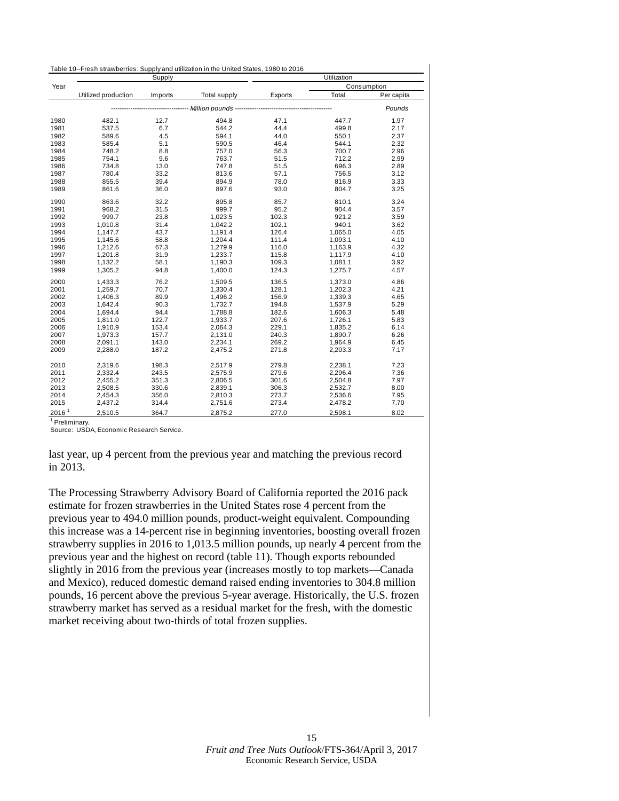<span id="page-14-0"></span>

| Table 10--Fresh strawberries: Supply and utilization in the United States, 1980 to 2016 |  |
|-----------------------------------------------------------------------------------------|--|
|-----------------------------------------------------------------------------------------|--|

| Year<br>Consumption<br>Total<br>Utilized production<br>Imports<br><b>Total supply</b><br>Exports<br>Per capita<br>----------- Million pounds -------<br>Pounds<br>1980<br>494.8<br>47.1<br>447.7<br>1.97<br>482.1<br>12.7<br>6.7<br>44.4<br>1981<br>537.5<br>544.2<br>499.8<br>2.17<br>1982<br>589.6<br>4.5<br>594.1<br>44.0<br>550.1<br>2.37<br>1983<br>585.4<br>590.5<br>46.4<br>544.1<br>5.1<br>2.32<br>1984<br>700.7<br>748.2<br>8.8<br>757.0<br>56.3<br>2.96<br>1985<br>754.1<br>763.7<br>51.5<br>712.2<br>2.99<br>9.6<br>696.3<br>1986<br>734.8<br>13.0<br>747.8<br>51.5<br>2.89<br>1987<br>780.4<br>33.2<br>756.5<br>813.6<br>57.1<br>3.12<br>78.0<br>1988<br>855.5<br>39.4<br>894.9<br>816.9<br>3.33<br>1989<br>861.6<br>36.0<br>93.0<br>804.7<br>897.6<br>3.25<br>1990<br>863.6<br>32.2<br>895.8<br>85.7<br>810.1<br>3.24<br>968.2<br>999.7<br>95.2<br>904.4<br>1991<br>31.5<br>3.57<br>1992<br>999.7<br>23.8<br>102.3<br>921.2<br>3.59<br>1,023.5<br>1993<br>31.4<br>1,042.2<br>102.1<br>940.1<br>1,010.8<br>3.62<br>1994<br>1,147.7<br>43.7<br>1,191.4<br>126.4<br>1,065.0<br>4.05<br>1995<br>58.8<br>1,204.4<br>111.4<br>1,093.1<br>4.10<br>1,145.6<br>1996<br>67.3<br>1,212.6<br>1,279.9<br>116.0<br>1,163.9<br>4.32<br>1997<br>31.9<br>1,233.7<br>4.10<br>1,201.8<br>115.8<br>1,117.9<br>1998<br>58.1<br>1,190.3<br>109.3<br>1,081.1<br>3.92<br>1,132.2<br>1999<br>94.8<br>1,400.0<br>124.3<br>1,305.2<br>1,275.7<br>4.57<br>2000<br>1,433.3<br>76.2<br>1,509.5<br>136.5<br>1,373.0<br>4.86<br>70.7<br>2001<br>128.1<br>4.21<br>1,259.7<br>1,330.4<br>1,202.3<br>2002<br>89.9<br>1,496.2<br>156.9<br>1,406.3<br>1,339.3<br>4.65<br>2003<br>90.3<br>1,732.7<br>1,537.9<br>5.29<br>1,642.4<br>194.8<br>94.4<br>2004<br>1,788.8<br>182.6<br>1,694.4<br>1,606.3<br>5.48<br>2005<br>122.7<br>1,933.7<br>207.6<br>5.83<br>1,811.0<br>1,726.1<br>2006<br>153.4<br>2,064.3<br>229.1<br>1,835.2<br>1,910.9<br>6.14<br>2007<br>157.7<br>240.3<br>2,131.0<br>1,890.7<br>6.26<br>1,973.3<br>2008<br>143.0<br>2,234.1<br>269.2<br>2,091.1<br>1,964.9<br>6.45 |      |         | Supply |         |       | Utilization |      |  |
|---------------------------------------------------------------------------------------------------------------------------------------------------------------------------------------------------------------------------------------------------------------------------------------------------------------------------------------------------------------------------------------------------------------------------------------------------------------------------------------------------------------------------------------------------------------------------------------------------------------------------------------------------------------------------------------------------------------------------------------------------------------------------------------------------------------------------------------------------------------------------------------------------------------------------------------------------------------------------------------------------------------------------------------------------------------------------------------------------------------------------------------------------------------------------------------------------------------------------------------------------------------------------------------------------------------------------------------------------------------------------------------------------------------------------------------------------------------------------------------------------------------------------------------------------------------------------------------------------------------------------------------------------------------------------------------------------------------------------------------------------------------------------------------------------------------------------------------------------------------------------------------------------------------------------------------------------------------------------------------------------------------------------------------------------------------|------|---------|--------|---------|-------|-------------|------|--|
|                                                                                                                                                                                                                                                                                                                                                                                                                                                                                                                                                                                                                                                                                                                                                                                                                                                                                                                                                                                                                                                                                                                                                                                                                                                                                                                                                                                                                                                                                                                                                                                                                                                                                                                                                                                                                                                                                                                                                                                                                                                               |      |         |        |         |       |             |      |  |
|                                                                                                                                                                                                                                                                                                                                                                                                                                                                                                                                                                                                                                                                                                                                                                                                                                                                                                                                                                                                                                                                                                                                                                                                                                                                                                                                                                                                                                                                                                                                                                                                                                                                                                                                                                                                                                                                                                                                                                                                                                                               |      |         |        |         |       |             |      |  |
|                                                                                                                                                                                                                                                                                                                                                                                                                                                                                                                                                                                                                                                                                                                                                                                                                                                                                                                                                                                                                                                                                                                                                                                                                                                                                                                                                                                                                                                                                                                                                                                                                                                                                                                                                                                                                                                                                                                                                                                                                                                               |      |         |        |         |       |             |      |  |
|                                                                                                                                                                                                                                                                                                                                                                                                                                                                                                                                                                                                                                                                                                                                                                                                                                                                                                                                                                                                                                                                                                                                                                                                                                                                                                                                                                                                                                                                                                                                                                                                                                                                                                                                                                                                                                                                                                                                                                                                                                                               |      |         |        |         |       |             |      |  |
|                                                                                                                                                                                                                                                                                                                                                                                                                                                                                                                                                                                                                                                                                                                                                                                                                                                                                                                                                                                                                                                                                                                                                                                                                                                                                                                                                                                                                                                                                                                                                                                                                                                                                                                                                                                                                                                                                                                                                                                                                                                               |      |         |        |         |       |             |      |  |
|                                                                                                                                                                                                                                                                                                                                                                                                                                                                                                                                                                                                                                                                                                                                                                                                                                                                                                                                                                                                                                                                                                                                                                                                                                                                                                                                                                                                                                                                                                                                                                                                                                                                                                                                                                                                                                                                                                                                                                                                                                                               |      |         |        |         |       |             |      |  |
|                                                                                                                                                                                                                                                                                                                                                                                                                                                                                                                                                                                                                                                                                                                                                                                                                                                                                                                                                                                                                                                                                                                                                                                                                                                                                                                                                                                                                                                                                                                                                                                                                                                                                                                                                                                                                                                                                                                                                                                                                                                               |      |         |        |         |       |             |      |  |
|                                                                                                                                                                                                                                                                                                                                                                                                                                                                                                                                                                                                                                                                                                                                                                                                                                                                                                                                                                                                                                                                                                                                                                                                                                                                                                                                                                                                                                                                                                                                                                                                                                                                                                                                                                                                                                                                                                                                                                                                                                                               |      |         |        |         |       |             |      |  |
|                                                                                                                                                                                                                                                                                                                                                                                                                                                                                                                                                                                                                                                                                                                                                                                                                                                                                                                                                                                                                                                                                                                                                                                                                                                                                                                                                                                                                                                                                                                                                                                                                                                                                                                                                                                                                                                                                                                                                                                                                                                               |      |         |        |         |       |             |      |  |
|                                                                                                                                                                                                                                                                                                                                                                                                                                                                                                                                                                                                                                                                                                                                                                                                                                                                                                                                                                                                                                                                                                                                                                                                                                                                                                                                                                                                                                                                                                                                                                                                                                                                                                                                                                                                                                                                                                                                                                                                                                                               |      |         |        |         |       |             |      |  |
|                                                                                                                                                                                                                                                                                                                                                                                                                                                                                                                                                                                                                                                                                                                                                                                                                                                                                                                                                                                                                                                                                                                                                                                                                                                                                                                                                                                                                                                                                                                                                                                                                                                                                                                                                                                                                                                                                                                                                                                                                                                               |      |         |        |         |       |             |      |  |
|                                                                                                                                                                                                                                                                                                                                                                                                                                                                                                                                                                                                                                                                                                                                                                                                                                                                                                                                                                                                                                                                                                                                                                                                                                                                                                                                                                                                                                                                                                                                                                                                                                                                                                                                                                                                                                                                                                                                                                                                                                                               |      |         |        |         |       |             |      |  |
|                                                                                                                                                                                                                                                                                                                                                                                                                                                                                                                                                                                                                                                                                                                                                                                                                                                                                                                                                                                                                                                                                                                                                                                                                                                                                                                                                                                                                                                                                                                                                                                                                                                                                                                                                                                                                                                                                                                                                                                                                                                               |      |         |        |         |       |             |      |  |
|                                                                                                                                                                                                                                                                                                                                                                                                                                                                                                                                                                                                                                                                                                                                                                                                                                                                                                                                                                                                                                                                                                                                                                                                                                                                                                                                                                                                                                                                                                                                                                                                                                                                                                                                                                                                                                                                                                                                                                                                                                                               |      |         |        |         |       |             |      |  |
|                                                                                                                                                                                                                                                                                                                                                                                                                                                                                                                                                                                                                                                                                                                                                                                                                                                                                                                                                                                                                                                                                                                                                                                                                                                                                                                                                                                                                                                                                                                                                                                                                                                                                                                                                                                                                                                                                                                                                                                                                                                               |      |         |        |         |       |             |      |  |
|                                                                                                                                                                                                                                                                                                                                                                                                                                                                                                                                                                                                                                                                                                                                                                                                                                                                                                                                                                                                                                                                                                                                                                                                                                                                                                                                                                                                                                                                                                                                                                                                                                                                                                                                                                                                                                                                                                                                                                                                                                                               |      |         |        |         |       |             |      |  |
|                                                                                                                                                                                                                                                                                                                                                                                                                                                                                                                                                                                                                                                                                                                                                                                                                                                                                                                                                                                                                                                                                                                                                                                                                                                                                                                                                                                                                                                                                                                                                                                                                                                                                                                                                                                                                                                                                                                                                                                                                                                               |      |         |        |         |       |             |      |  |
|                                                                                                                                                                                                                                                                                                                                                                                                                                                                                                                                                                                                                                                                                                                                                                                                                                                                                                                                                                                                                                                                                                                                                                                                                                                                                                                                                                                                                                                                                                                                                                                                                                                                                                                                                                                                                                                                                                                                                                                                                                                               |      |         |        |         |       |             |      |  |
|                                                                                                                                                                                                                                                                                                                                                                                                                                                                                                                                                                                                                                                                                                                                                                                                                                                                                                                                                                                                                                                                                                                                                                                                                                                                                                                                                                                                                                                                                                                                                                                                                                                                                                                                                                                                                                                                                                                                                                                                                                                               |      |         |        |         |       |             |      |  |
|                                                                                                                                                                                                                                                                                                                                                                                                                                                                                                                                                                                                                                                                                                                                                                                                                                                                                                                                                                                                                                                                                                                                                                                                                                                                                                                                                                                                                                                                                                                                                                                                                                                                                                                                                                                                                                                                                                                                                                                                                                                               |      |         |        |         |       |             |      |  |
|                                                                                                                                                                                                                                                                                                                                                                                                                                                                                                                                                                                                                                                                                                                                                                                                                                                                                                                                                                                                                                                                                                                                                                                                                                                                                                                                                                                                                                                                                                                                                                                                                                                                                                                                                                                                                                                                                                                                                                                                                                                               |      |         |        |         |       |             |      |  |
|                                                                                                                                                                                                                                                                                                                                                                                                                                                                                                                                                                                                                                                                                                                                                                                                                                                                                                                                                                                                                                                                                                                                                                                                                                                                                                                                                                                                                                                                                                                                                                                                                                                                                                                                                                                                                                                                                                                                                                                                                                                               |      |         |        |         |       |             |      |  |
|                                                                                                                                                                                                                                                                                                                                                                                                                                                                                                                                                                                                                                                                                                                                                                                                                                                                                                                                                                                                                                                                                                                                                                                                                                                                                                                                                                                                                                                                                                                                                                                                                                                                                                                                                                                                                                                                                                                                                                                                                                                               |      |         |        |         |       |             |      |  |
|                                                                                                                                                                                                                                                                                                                                                                                                                                                                                                                                                                                                                                                                                                                                                                                                                                                                                                                                                                                                                                                                                                                                                                                                                                                                                                                                                                                                                                                                                                                                                                                                                                                                                                                                                                                                                                                                                                                                                                                                                                                               |      |         |        |         |       |             |      |  |
|                                                                                                                                                                                                                                                                                                                                                                                                                                                                                                                                                                                                                                                                                                                                                                                                                                                                                                                                                                                                                                                                                                                                                                                                                                                                                                                                                                                                                                                                                                                                                                                                                                                                                                                                                                                                                                                                                                                                                                                                                                                               |      |         |        |         |       |             |      |  |
|                                                                                                                                                                                                                                                                                                                                                                                                                                                                                                                                                                                                                                                                                                                                                                                                                                                                                                                                                                                                                                                                                                                                                                                                                                                                                                                                                                                                                                                                                                                                                                                                                                                                                                                                                                                                                                                                                                                                                                                                                                                               |      |         |        |         |       |             |      |  |
|                                                                                                                                                                                                                                                                                                                                                                                                                                                                                                                                                                                                                                                                                                                                                                                                                                                                                                                                                                                                                                                                                                                                                                                                                                                                                                                                                                                                                                                                                                                                                                                                                                                                                                                                                                                                                                                                                                                                                                                                                                                               |      |         |        |         |       |             |      |  |
|                                                                                                                                                                                                                                                                                                                                                                                                                                                                                                                                                                                                                                                                                                                                                                                                                                                                                                                                                                                                                                                                                                                                                                                                                                                                                                                                                                                                                                                                                                                                                                                                                                                                                                                                                                                                                                                                                                                                                                                                                                                               |      |         |        |         |       |             |      |  |
|                                                                                                                                                                                                                                                                                                                                                                                                                                                                                                                                                                                                                                                                                                                                                                                                                                                                                                                                                                                                                                                                                                                                                                                                                                                                                                                                                                                                                                                                                                                                                                                                                                                                                                                                                                                                                                                                                                                                                                                                                                                               |      |         |        |         |       |             |      |  |
|                                                                                                                                                                                                                                                                                                                                                                                                                                                                                                                                                                                                                                                                                                                                                                                                                                                                                                                                                                                                                                                                                                                                                                                                                                                                                                                                                                                                                                                                                                                                                                                                                                                                                                                                                                                                                                                                                                                                                                                                                                                               |      |         |        |         |       |             |      |  |
|                                                                                                                                                                                                                                                                                                                                                                                                                                                                                                                                                                                                                                                                                                                                                                                                                                                                                                                                                                                                                                                                                                                                                                                                                                                                                                                                                                                                                                                                                                                                                                                                                                                                                                                                                                                                                                                                                                                                                                                                                                                               |      |         |        |         |       |             |      |  |
|                                                                                                                                                                                                                                                                                                                                                                                                                                                                                                                                                                                                                                                                                                                                                                                                                                                                                                                                                                                                                                                                                                                                                                                                                                                                                                                                                                                                                                                                                                                                                                                                                                                                                                                                                                                                                                                                                                                                                                                                                                                               |      |         |        |         |       |             |      |  |
|                                                                                                                                                                                                                                                                                                                                                                                                                                                                                                                                                                                                                                                                                                                                                                                                                                                                                                                                                                                                                                                                                                                                                                                                                                                                                                                                                                                                                                                                                                                                                                                                                                                                                                                                                                                                                                                                                                                                                                                                                                                               | 2009 | 2,288.0 | 187.2  | 2,475.2 | 271.8 | 2,203.3     | 7.17 |  |
| 2010<br>198.3<br>2,517.9<br>279.8<br>2,238.1<br>7.23<br>2,319.6                                                                                                                                                                                                                                                                                                                                                                                                                                                                                                                                                                                                                                                                                                                                                                                                                                                                                                                                                                                                                                                                                                                                                                                                                                                                                                                                                                                                                                                                                                                                                                                                                                                                                                                                                                                                                                                                                                                                                                                               |      |         |        |         |       |             |      |  |
| 2011<br>2,332.4<br>243.5<br>2,575.9<br>279.6<br>2,296.4<br>7.36                                                                                                                                                                                                                                                                                                                                                                                                                                                                                                                                                                                                                                                                                                                                                                                                                                                                                                                                                                                                                                                                                                                                                                                                                                                                                                                                                                                                                                                                                                                                                                                                                                                                                                                                                                                                                                                                                                                                                                                               |      |         |        |         |       |             |      |  |
| 2012<br>351.3<br>301.6<br>7.97<br>2,455.2<br>2,806.5<br>2,504.8                                                                                                                                                                                                                                                                                                                                                                                                                                                                                                                                                                                                                                                                                                                                                                                                                                                                                                                                                                                                                                                                                                                                                                                                                                                                                                                                                                                                                                                                                                                                                                                                                                                                                                                                                                                                                                                                                                                                                                                               |      |         |        |         |       |             |      |  |
| 330.6<br>2013<br>2,508.5<br>2,839.1<br>306.3<br>2,532.7<br>8.00                                                                                                                                                                                                                                                                                                                                                                                                                                                                                                                                                                                                                                                                                                                                                                                                                                                                                                                                                                                                                                                                                                                                                                                                                                                                                                                                                                                                                                                                                                                                                                                                                                                                                                                                                                                                                                                                                                                                                                                               |      |         |        |         |       |             |      |  |
| 2014<br>356.0<br>2,810.3<br>273.7<br>2,536.6<br>7.95<br>2,454.3                                                                                                                                                                                                                                                                                                                                                                                                                                                                                                                                                                                                                                                                                                                                                                                                                                                                                                                                                                                                                                                                                                                                                                                                                                                                                                                                                                                                                                                                                                                                                                                                                                                                                                                                                                                                                                                                                                                                                                                               |      |         |        |         |       |             |      |  |
| 2015<br>7.70<br>2,437.2<br>314.4<br>2,751.6<br>273.4<br>2,478.2                                                                                                                                                                                                                                                                                                                                                                                                                                                                                                                                                                                                                                                                                                                                                                                                                                                                                                                                                                                                                                                                                                                                                                                                                                                                                                                                                                                                                                                                                                                                                                                                                                                                                                                                                                                                                                                                                                                                                                                               |      |         |        |         |       |             |      |  |
| 2016 <sup>1</sup><br>2.510.5<br>364.7<br>2.875.2<br>277.0<br>2.598.1<br>8.02                                                                                                                                                                                                                                                                                                                                                                                                                                                                                                                                                                                                                                                                                                                                                                                                                                                                                                                                                                                                                                                                                                                                                                                                                                                                                                                                                                                                                                                                                                                                                                                                                                                                                                                                                                                                                                                                                                                                                                                  |      |         |        |         |       |             |      |  |

<sup>1</sup> Preliminary.

Source: USDA, Economic Research Service.

last year, up 4 percent from the previous year and matching the previous record in 2013.

The Processing Strawberry Advisory Board of California reported the 2016 pack estimate for frozen strawberries in the United States rose 4 percent from the previous year to 494.0 million pounds, product-weight equivalent. Compounding this increase was a 14-percent rise in beginning inventories, boosting overall frozen strawberry supplies in 2016 to 1,013.5 million pounds, up nearly 4 percent from the previous year and the highest on record (table 11). Though exports rebounded slightly in 2016 from the previous year (increases mostly to top markets—Canada and Mexico), reduced domestic demand raised ending inventories to 304.8 million pounds, 16 percent above the previous 5-year average. Historically, the U.S. frozen strawberry market has served as a residual market for the fresh, with the domestic market receiving about two-thirds of total frozen supplies.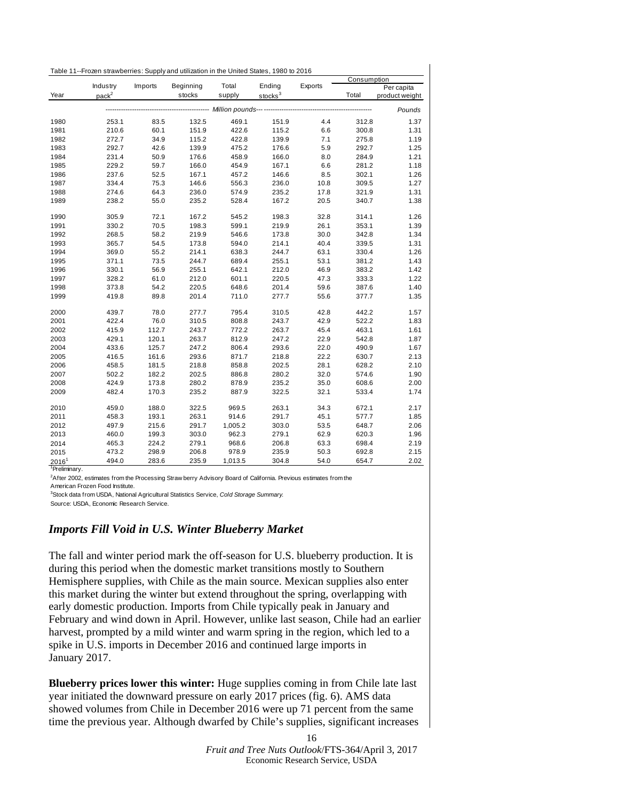<span id="page-15-0"></span>

|                          |                                                                                |         |           |         |                     |         | Consumption |                |  |
|--------------------------|--------------------------------------------------------------------------------|---------|-----------|---------|---------------------|---------|-------------|----------------|--|
|                          | Industry                                                                       | Imports | Beginning | Total   | Ending              | Exports |             | Per capita     |  |
| Year                     | pack <sup>2</sup>                                                              |         | stocks    | supply  | stocks <sup>3</sup> |         | Total       | product weight |  |
|                          | -------- <i>---------- Million pounds---</i> -----------------------<br>Pounds |         |           |         |                     |         |             |                |  |
| 1980                     | 253.1                                                                          | 83.5    | 132.5     | 469.1   | 151.9               | 4.4     | 312.8       | 1.37           |  |
| 1981                     | 210.6                                                                          | 60.1    | 151.9     | 422.6   | 115.2               | 6.6     | 300.8       | 1.31           |  |
| 1982                     | 272.7                                                                          | 34.9    | 115.2     | 422.8   | 139.9               | 7.1     | 275.8       | 1.19           |  |
| 1983                     | 292.7                                                                          | 42.6    | 139.9     | 475.2   | 176.6               | 5.9     | 292.7       | 1.25           |  |
| 1984                     | 231.4                                                                          | 50.9    | 176.6     | 458.9   | 166.0               | 8.0     | 284.9       | 1.21           |  |
| 1985                     | 229.2                                                                          | 59.7    | 166.0     | 454.9   | 167.1               | 6.6     | 281.2       | 1.18           |  |
| 1986                     | 237.6                                                                          | 52.5    | 167.1     | 457.2   | 146.6               | 8.5     | 302.1       | 1.26           |  |
| 1987                     | 334.4                                                                          | 75.3    | 146.6     | 556.3   | 236.0               | 10.8    | 309.5       | 1.27           |  |
| 1988                     | 274.6                                                                          | 64.3    | 236.0     | 574.9   | 235.2               | 17.8    | 321.9       | 1.31           |  |
| 1989                     | 238.2                                                                          | 55.0    | 235.2     | 528.4   | 167.2               | 20.5    | 340.7       | 1.38           |  |
| 1990                     | 305.9                                                                          | 72.1    | 167.2     | 545.2   | 198.3               | 32.8    | 314.1       | 1.26           |  |
| 1991                     | 330.2                                                                          | 70.5    | 198.3     | 599.1   | 219.9               | 26.1    | 353.1       | 1.39           |  |
| 1992                     | 268.5                                                                          | 58.2    | 219.9     | 546.6   | 173.8               | 30.0    | 342.8       | 1.34           |  |
| 1993                     | 365.7                                                                          | 54.5    | 173.8     | 594.0   | 214.1               | 40.4    | 339.5       | 1.31           |  |
| 1994                     | 369.0                                                                          | 55.2    | 214.1     | 638.3   | 244.7               | 63.1    | 330.4       | 1.26           |  |
| 1995                     | 371.1                                                                          | 73.5    | 244.7     | 689.4   | 255.1               | 53.1    | 381.2       | 1.43           |  |
| 1996                     | 330.1                                                                          | 56.9    | 255.1     | 642.1   | 212.0               | 46.9    | 383.2       | 1.42           |  |
| 1997                     | 328.2                                                                          | 61.0    | 212.0     | 601.1   | 220.5               | 47.3    | 333.3       | 1.22           |  |
| 1998                     | 373.8                                                                          | 54.2    | 220.5     | 648.6   | 201.4               | 59.6    | 387.6       | 1.40           |  |
| 1999                     | 419.8                                                                          | 89.8    | 201.4     | 711.0   | 277.7               | 55.6    | 377.7       | 1.35           |  |
| 2000                     | 439.7                                                                          | 78.0    | 277.7     | 795.4   | 310.5               | 42.8    | 442.2       | 1.57           |  |
| 2001                     | 422.4                                                                          | 76.0    | 310.5     | 808.8   | 243.7               | 42.9    | 522.2       | 1.83           |  |
| 2002                     | 415.9                                                                          | 112.7   | 243.7     | 772.2   | 263.7               | 45.4    | 463.1       | 1.61           |  |
| 2003                     | 429.1                                                                          | 120.1   | 263.7     | 812.9   | 247.2               | 22.9    | 542.8       | 1.87           |  |
| 2004                     | 433.6                                                                          | 125.7   | 247.2     | 806.4   | 293.6               | 22.0    | 490.9       | 1.67           |  |
| 2005                     | 416.5                                                                          | 161.6   | 293.6     | 871.7   | 218.8               | 22.2    | 630.7       | 2.13           |  |
| 2006                     | 458.5                                                                          | 181.5   | 218.8     | 858.8   | 202.5               | 28.1    | 628.2       | 2.10           |  |
| 2007                     | 502.2                                                                          | 182.2   | 202.5     | 886.8   | 280.2               | 32.0    | 574.6       | 1.90           |  |
| 2008                     | 424.9                                                                          | 173.8   | 280.2     | 878.9   | 235.2               | 35.0    | 608.6       | 2.00           |  |
| 2009                     | 482.4                                                                          | 170.3   | 235.2     | 887.9   | 322.5               | 32.1    | 533.4       | 1.74           |  |
| 2010                     | 459.0                                                                          | 188.0   | 322.5     | 969.5   | 263.1               | 34.3    | 672.1       | 2.17           |  |
| 2011                     | 458.3                                                                          | 193.1   | 263.1     | 914.6   | 291.7               | 45.1    | 577.7       | 1.85           |  |
| 2012                     | 497.9                                                                          | 215.6   | 291.7     | 1,005.2 | 303.0               | 53.5    | 648.7       | 2.06           |  |
| 2013                     | 460.0                                                                          | 199.3   | 303.0     | 962.3   | 279.1               | 62.9    | 620.3       | 1.96           |  |
| 2014                     | 465.3                                                                          | 224.2   | 279.1     | 968.6   | 206.8               | 63.3    | 698.4       | 2.19           |  |
| 2015                     | 473.2                                                                          | 298.9   | 206.8     | 978.9   | 235.9               | 50.3    | 692.8       | 2.15           |  |
| $2016^1$                 | 494.0                                                                          | 283.6   | 235.9     | 1,013.5 | 304.8               | 54.0    | 654.7       | 2.02           |  |
| <sup>1</sup> Preliminary |                                                                                |         |           |         |                     |         |             |                |  |

 After 2002, estimates from the Processing Straw berry Advisory Board of California. Previous estimates from the American Frozen Food Institute.

Stock data from USDA, National Agricultural Statistics Service, *Cold Storage Summary.*

Source: USDA, Economic Research Service.

# *Imports Fill Void in U.S. Winter Blueberry Market*

The fall and winter period mark the off-season for U.S. blueberry production. It is during this period when the domestic market transitions mostly to Southern Hemisphere supplies, with Chile as the main source. Mexican supplies also enter this market during the winter but extend throughout the spring, overlapping with early domestic production. Imports from Chile typically peak in January and February and wind down in April. However, unlike last season, Chile had an earlier harvest, prompted by a mild winter and warm spring in the region, which led to a spike in U.S. imports in December 2016 and continued large imports in January 2017.

**Blueberry prices lower this winter:** Huge supplies coming in from Chile late last year initiated the downward pressure on early 2017 prices (fig. 6). AMS data showed volumes from Chile in December 2016 were up 71 percent from the same time the previous year. Although dwarfed by Chile's supplies, significant increases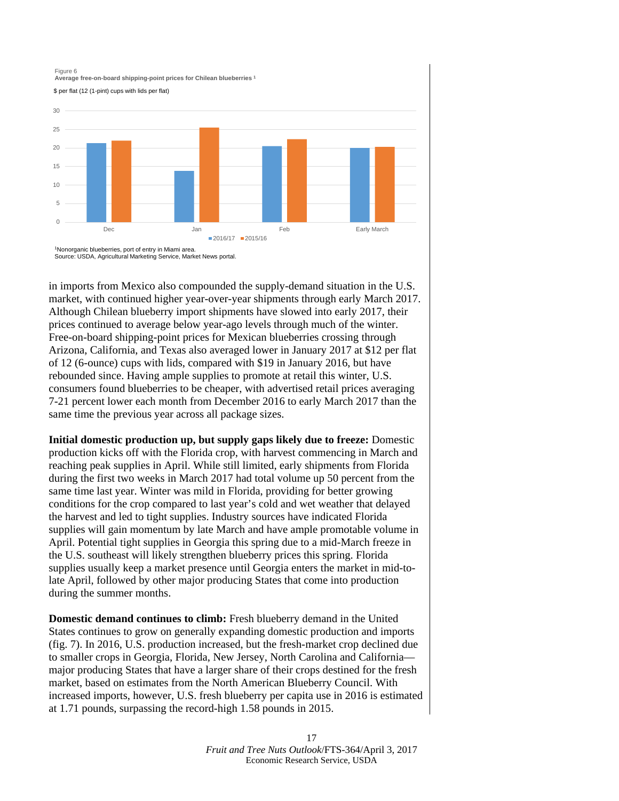

in imports from Mexico also compounded the supply-demand situation in the U.S. market, with continued higher year-over-year shipments through early March 2017. Although Chilean blueberry import shipments have slowed into early 2017, their prices continued to average below year-ago levels through much of the winter. Free-on-board shipping-point prices for Mexican blueberries crossing through Arizona, California, and Texas also averaged lower in January 2017 at \$12 per flat of 12 (6-ounce) cups with lids, compared with \$19 in January 2016, but have rebounded since. Having ample supplies to promote at retail this winter, U.S. consumers found blueberries to be cheaper, with advertised retail prices averaging 7-21 percent lower each month from December 2016 to early March 2017 than the same time the previous year across all package sizes.

**Initial domestic production up, but supply gaps likely due to freeze:** Domestic production kicks off with the Florida crop, with harvest commencing in March and reaching peak supplies in April. While still limited, early shipments from Florida during the first two weeks in March 2017 had total volume up 50 percent from the same time last year. Winter was mild in Florida, providing for better growing conditions for the crop compared to last year's cold and wet weather that delayed the harvest and led to tight supplies. Industry sources have indicated Florida supplies will gain momentum by late March and have ample promotable volume in April. Potential tight supplies in Georgia this spring due to a mid-March freeze in the U.S. southeast will likely strengthen blueberry prices this spring. Florida supplies usually keep a market presence until Georgia enters the market in mid-tolate April, followed by other major producing States that come into production during the summer months.

**Domestic demand continues to climb:** Fresh blueberry demand in the United States continues to grow on generally expanding domestic production and imports (fig. 7). In 2016, U.S. production increased, but the fresh-market crop declined due to smaller crops in Georgia, Florida, New Jersey, North Carolina and California major producing States that have a larger share of their crops destined for the fresh market, based on estimates from the North American Blueberry Council. With increased imports, however, U.S. fresh blueberry per capita use in 2016 is estimated at 1.71 pounds, surpassing the record-high 1.58 pounds in 2015.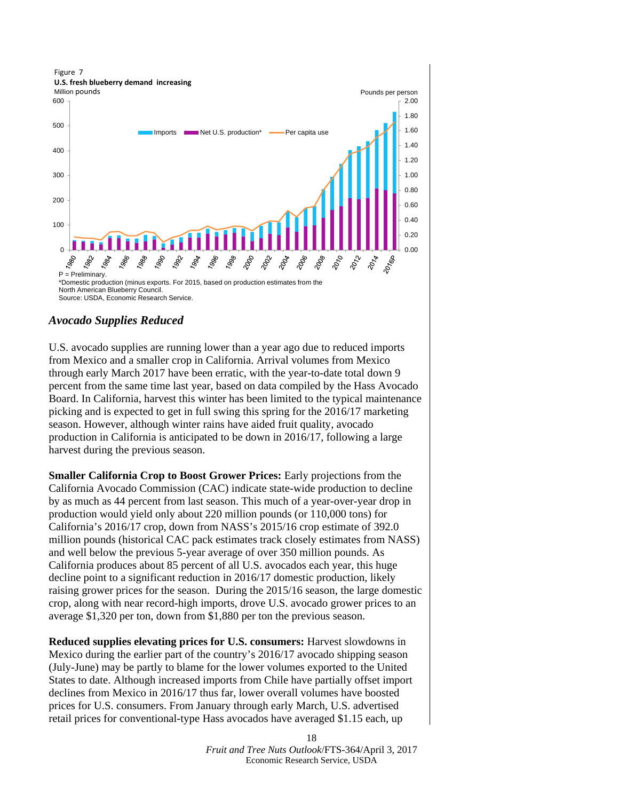

### *Avocado Supplies Reduced*

U.S. avocado supplies are running lower than a year ago due to reduced imports from Mexico and a smaller crop in California. Arrival volumes from Mexico through early March 2017 have been erratic, with the year-to-date total down 9 percent from the same time last year, based on data compiled by the Hass Avocado Board. In California, harvest this winter has been limited to the typical maintenance picking and is expected to get in full swing this spring for the 2016/17 marketing season. However, although winter rains have aided fruit quality, avocado production in California is anticipated to be down in 2016/17, following a large harvest during the previous season.

**Smaller California Crop to Boost Grower Prices:** Early projections from the California Avocado Commission (CAC) indicate state-wide production to decline by as much as 44 percent from last season. This much of a year-over-year drop in production would yield only about 220 million pounds (or 110,000 tons) for California's 2016/17 crop, down from NASS's 2015/16 crop estimate of 392.0 million pounds (historical CAC pack estimates track closely estimates from NASS) and well below the previous 5-year average of over 350 million pounds. As California produces about 85 percent of all U.S. avocados each year, this huge decline point to a significant reduction in 2016/17 domestic production, likely raising grower prices for the season. During the 2015/16 season, the large domestic crop, along with near record-high imports, drove U.S. avocado grower prices to an average \$1,320 per ton, down from \$1,880 per ton the previous season.

**Reduced supplies elevating prices for U.S. consumers:** Harvest slowdowns in Mexico during the earlier part of the country's 2016/17 avocado shipping season (July-June) may be partly to blame for the lower volumes exported to the United States to date. Although increased imports from Chile have partially offset import declines from Mexico in 2016/17 thus far, lower overall volumes have boosted prices for U.S. consumers. From January through early March, U.S. advertised retail prices for conventional-type Hass avocados have averaged \$1.15 each, up

> *Fruit and Tree Nuts Outlook*/FTS-364/April 3, 2017 Economic Research Service, USDA

18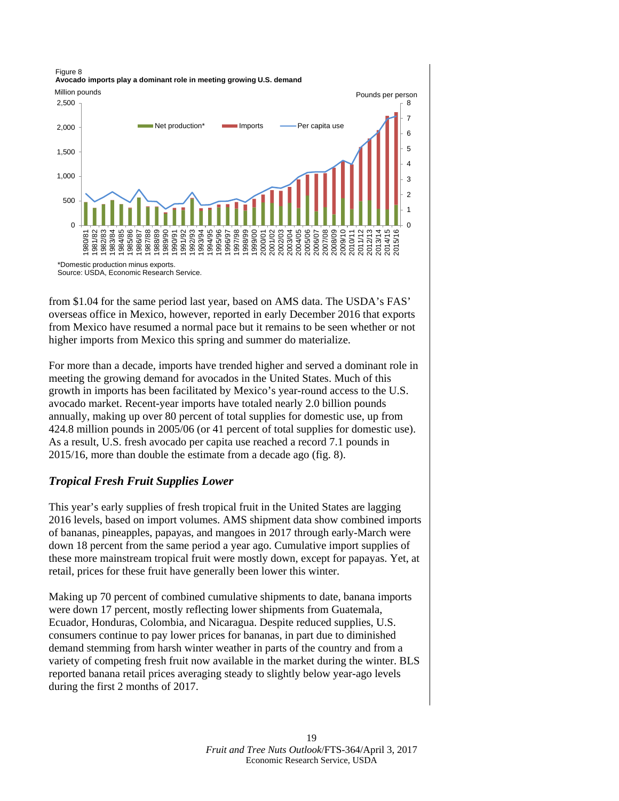0 1 2 3 4 5 6 7 8  $\Omega$ 500 1,000 1,500 2,000 2,500 1980/81 1981/82  $82$ 1983/84 1984/85 1985/86 1986/87 1987/88 1988/89 1989/90 1990/91 1991/92 1992/93 1993/94 1994/95 1995/96 1996/97 1997/98 1998/99 1999/00 2000/01 2001/02 2002/03 2003/04 2004/05 2005/06 2006/07 2007/08 2008/09 2009/10 2010/11 2011/12 2012/13 2013/14 2014/15 2015/16 Net production\* Imports — Per capita use Figure 8 **Avocado imports play a dominant role in meeting growing U.S. demand** Million pounds **Pounds Pounds** per person \*Domestic production minus exports.

Source: USDA, Economic Research Service.

from \$1.04 for the same period last year, based on AMS data. The USDA's FAS' overseas office in Mexico, however, reported in early December 2016 that exports from Mexico have resumed a normal pace but it remains to be seen whether or not higher imports from Mexico this spring and summer do materialize.

For more than a decade, imports have trended higher and served a dominant role in meeting the growing demand for avocados in the United States. Much of this growth in imports has been facilitated by Mexico's year-round access to the U.S. avocado market. Recent-year imports have totaled nearly 2.0 billion pounds annually, making up over 80 percent of total supplies for domestic use, up from 424.8 million pounds in 2005/06 (or 41 percent of total supplies for domestic use). As a result, U.S. fresh avocado per capita use reached a record 7.1 pounds in 2015/16, more than double the estimate from a decade ago (fig. 8).

# *Tropical Fresh Fruit Supplies Lower*

This year's early supplies of fresh tropical fruit in the United States are lagging 2016 levels, based on import volumes. AMS shipment data show combined imports of bananas, pineapples, papayas, and mangoes in 2017 through early-March were down 18 percent from the same period a year ago. Cumulative import supplies of these more mainstream tropical fruit were mostly down, except for papayas. Yet, at retail, prices for these fruit have generally been lower this winter.

Making up 70 percent of combined cumulative shipments to date, banana imports were down 17 percent, mostly reflecting lower shipments from Guatemala, Ecuador, Honduras, Colombia, and Nicaragua. Despite reduced supplies, U.S. consumers continue to pay lower prices for bananas, in part due to diminished demand stemming from harsh winter weather in parts of the country and from a variety of competing fresh fruit now available in the market during the winter. BLS reported banana retail prices averaging steady to slightly below year-ago levels during the first 2 months of 2017.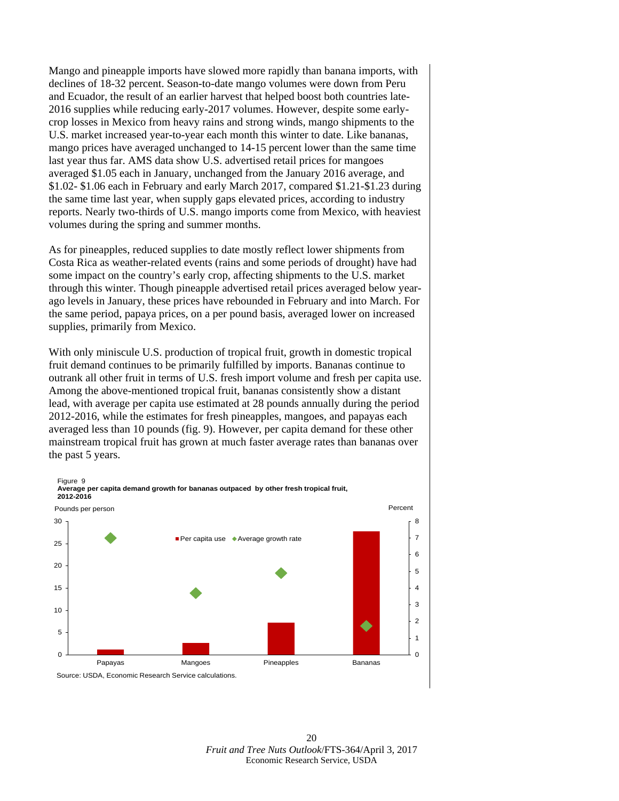Mango and pineapple imports have slowed more rapidly than banana imports, with declines of 18-32 percent. Season-to-date mango volumes were down from Peru and Ecuador, the result of an earlier harvest that helped boost both countries late-2016 supplies while reducing early-2017 volumes. However, despite some earlycrop losses in Mexico from heavy rains and strong winds, mango shipments to the U.S. market increased year-to-year each month this winter to date. Like bananas, mango prices have averaged unchanged to 14-15 percent lower than the same time last year thus far. AMS data show U.S. advertised retail prices for mangoes averaged \$1.05 each in January, unchanged from the January 2016 average, and \$1.02- \$1.06 each in February and early March 2017, compared \$1.21-\$1.23 during the same time last year, when supply gaps elevated prices, according to industry reports. Nearly two-thirds of U.S. mango imports come from Mexico, with heaviest volumes during the spring and summer months.

As for pineapples, reduced supplies to date mostly reflect lower shipments from Costa Rica as weather-related events (rains and some periods of drought) have had some impact on the country's early crop, affecting shipments to the U.S. market through this winter. Though pineapple advertised retail prices averaged below yearago levels in January, these prices have rebounded in February and into March. For the same period, papaya prices, on a per pound basis, averaged lower on increased supplies, primarily from Mexico.

With only miniscule U.S. production of tropical fruit, growth in domestic tropical fruit demand continues to be primarily fulfilled by imports. Bananas continue to outrank all other fruit in terms of U.S. fresh import volume and fresh per capita use. Among the above-mentioned tropical fruit, bananas consistently show a distant lead, with average per capita use estimated at 28 pounds annually during the period 2012-2016, while the estimates for fresh pineapples, mangoes, and papayas each averaged less than 10 pounds (fig. 9). However, per capita demand for these other mainstream tropical fruit has grown at much faster average rates than bananas over the past 5 years.

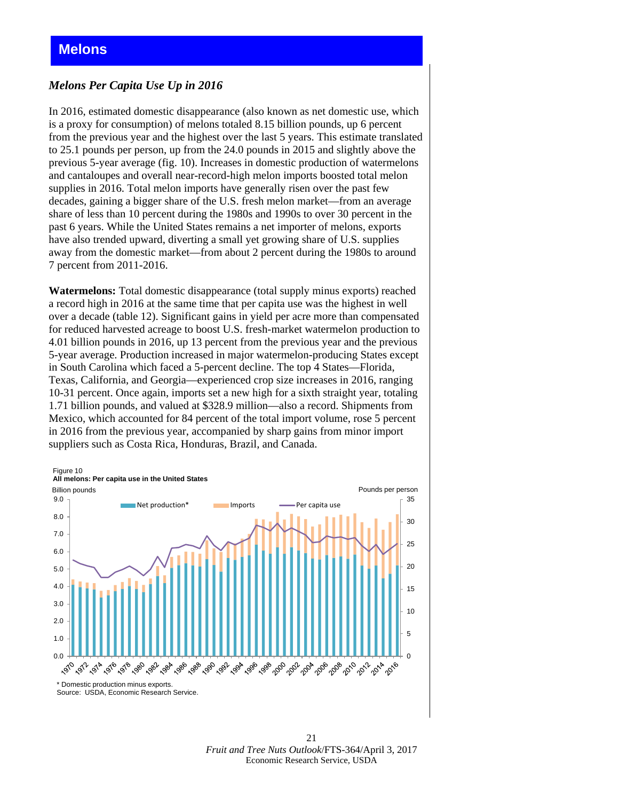### <span id="page-20-0"></span>*Melons Per Capita Use Up in 2016*

In 2016, estimated domestic disappearance (also known as net domestic use, which is a proxy for consumption) of melons totaled 8.15 billion pounds, up 6 percent from the previous year and the highest over the last 5 years. This estimate translated to 25.1 pounds per person, up from the 24.0 pounds in 2015 and slightly above the previous 5-year average (fig. 10). Increases in domestic production of watermelons and cantaloupes and overall near-record-high melon imports boosted total melon supplies in 2016. Total melon imports have generally risen over the past few decades, gaining a bigger share of the U.S. fresh melon market—from an average share of less than 10 percent during the 1980s and 1990s to over 30 percent in the past 6 years. While the United States remains a net importer of melons, exports have also trended upward, diverting a small yet growing share of U.S. supplies away from the domestic market—from about 2 percent during the 1980s to around 7 percent from 2011-2016.

**Watermelons:** Total domestic disappearance (total supply minus exports) reached a record high in 2016 at the same time that per capita use was the highest in well over a decade (table 12). Significant gains in yield per acre more than compensated for reduced harvested acreage to boost U.S. fresh-market watermelon production to 4.01 billion pounds in 2016, up 13 percent from the previous year and the previous 5-year average. Production increased in major watermelon-producing States except in South Carolina which faced a 5-percent decline. The top 4 States—Florida, Texas, California, and Georgia—experienced crop size increases in 2016, ranging 10-31 percent. Once again, imports set a new high for a sixth straight year, totaling 1.71 billion pounds, and valued at \$328.9 million—also a record. Shipments from Mexico, which accounted for 84 percent of the total import volume, rose 5 percent in 2016 from the previous year, accompanied by sharp gains from minor import suppliers such as Costa Rica, Honduras, Brazil, and Canada.

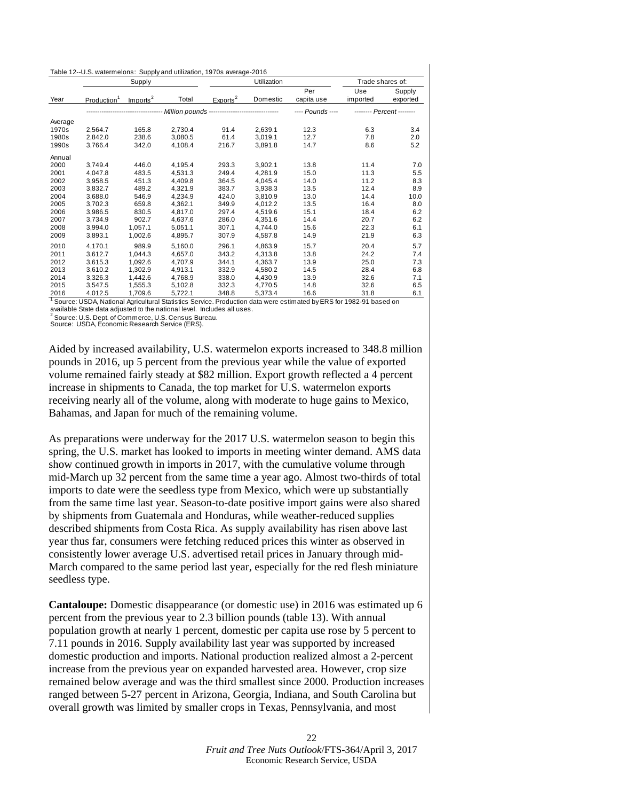<span id="page-21-0"></span>

|  | Table 12--U.S. watermelons: Supply and utilization, 1970s average-2016 |
|--|------------------------------------------------------------------------|
|--|------------------------------------------------------------------------|

|         | Supply                  |                      |         |                      | Utilization |                   |                 | Trade shares of:          |  |
|---------|-------------------------|----------------------|---------|----------------------|-------------|-------------------|-----------------|---------------------------|--|
| Year    | Production <sup>1</sup> | Imports <sup>2</sup> | Total   | Exports <sup>2</sup> | Domestic    | Per<br>capita use | Use<br>imported | Supply<br>exported        |  |
|         |                         |                      |         |                      |             | ---- Pounds ----  |                 | -------- Percent -------- |  |
| Average |                         |                      |         |                      |             |                   |                 |                           |  |
| 1970s   | 2,564.7                 | 165.8                | 2,730.4 | 91.4                 | 2,639.1     | 12.3              | 6.3             | 3.4                       |  |
| 1980s   | 2,842.0                 | 238.6                | 3,080.5 | 61.4                 | 3,019.1     | 12.7              | 7.8             | 2.0                       |  |
| 1990s   | 3,766.4                 | 342.0                | 4,108.4 | 216.7                | 3,891.8     | 14.7              | 8.6             | 5.2                       |  |
| Annual  |                         |                      |         |                      |             |                   |                 |                           |  |
| 2000    | 3,749.4                 | 446.0                | 4,195.4 | 293.3                | 3,902.1     | 13.8              | 11.4            | 7.0                       |  |
| 2001    | 4.047.8                 | 483.5                | 4.531.3 | 249.4                | 4.281.9     | 15.0              | 11.3            | 5.5                       |  |
| 2002    | 3,958.5                 | 451.3                | 4,409.8 | 364.5                | 4,045.4     | 14.0              | 11.2            | 8.3                       |  |
| 2003    | 3,832.7                 | 489.2                | 4,321.9 | 383.7                | 3,938.3     | 13.5              | 12.4            | 8.9                       |  |
| 2004    | 3,688.0                 | 546.9                | 4,234.9 | 424.0                | 3,810.9     | 13.0              | 14.4            | 10.0                      |  |
| 2005    | 3.702.3                 | 659.8                | 4,362.1 | 349.9                | 4,012.2     | 13.5              | 16.4            | 8.0                       |  |
| 2006    | 3,986.5                 | 830.5                | 4,817.0 | 297.4                | 4,519.6     | 15.1              | 18.4            | 6.2                       |  |
| 2007    | 3,734.9                 | 902.7                | 4,637.6 | 286.0                | 4,351.6     | 14.4              | 20.7            | 6.2                       |  |
| 2008    | 3,994.0                 | 1,057.1              | 5,051.1 | 307.1                | 4,744.0     | 15.6              | 22.3            | 6.1                       |  |
| 2009    | 3,893.1                 | 1,002.6              | 4,895.7 | 307.9                | 4,587.8     | 14.9              | 21.9            | 6.3                       |  |
| 2010    | 4,170.1                 | 989.9                | 5,160.0 | 296.1                | 4,863.9     | 15.7              | 20.4            | 5.7                       |  |
| 2011    | 3,612.7                 | 1.044.3              | 4,657.0 | 343.2                | 4,313.8     | 13.8              | 24.2            | 7.4                       |  |
| 2012    | 3,615.3                 | 1.092.6              | 4.707.9 | 344.1                | 4.363.7     | 13.9              | 25.0            | 7.3                       |  |
| 2013    | 3,610.2                 | 1,302.9              | 4,913.1 | 332.9                | 4,580.2     | 14.5              | 28.4            | 6.8                       |  |
| 2014    | 3,326.3                 | 1,442.6              | 4,768.9 | 338.0                | 4,430.9     | 13.9              | 32.6            | 7.1                       |  |
| 2015    | 3,547.5                 | 1.555.3              | 5,102.8 | 332.3                | 4.770.5     | 14.8              | 32.6            | 6.5                       |  |
| 2016    | 4,012.5                 | 1,709.6              | 5,722.1 | 348.8                | 5.373.4     | 16.6              | 31.8            | 6.1                       |  |

available State data adjusted to the national level. Includes all uses. 1 Source: USDA, National Agricultural Statistics Service. Production data were estimated by ERS for 1982-91 based on

<sup>2</sup> Source: U.S. Dept. of Commerce, U.S. Census Bureau.

Source: USDA, Economic Research Service (ERS).

Aided by increased availability, U.S. watermelon exports increased to 348.8 million pounds in 2016, up 5 percent from the previous year while the value of exported volume remained fairly steady at \$82 million. Export growth reflected a 4 percent increase in shipments to Canada, the top market for U.S. watermelon exports receiving nearly all of the volume, along with moderate to huge gains to Mexico, Bahamas, and Japan for much of the remaining volume.

As preparations were underway for the 2017 U.S. watermelon season to begin this spring, the U.S. market has looked to imports in meeting winter demand. AMS data show continued growth in imports in 2017, with the cumulative volume through mid-March up 32 percent from the same time a year ago. Almost two-thirds of total imports to date were the seedless type from Mexico, which were up substantially from the same time last year. Season-to-date positive import gains were also shared by shipments from Guatemala and Honduras, while weather-reduced supplies described shipments from Costa Rica. As supply availability has risen above last year thus far, consumers were fetching reduced prices this winter as observed in consistently lower average U.S. advertised retail prices in January through mid-March compared to the same period last year, especially for the red flesh miniature seedless type.

**Cantaloupe:** Domestic disappearance (or domestic use) in 2016 was estimated up 6 percent from the previous year to 2.3 billion pounds (table 13). With annual population growth at nearly 1 percent, domestic per capita use rose by 5 percent to 7.11 pounds in 2016. Supply availability last year was supported by increased domestic production and imports. National production realized almost a 2-percent increase from the previous year on expanded harvested area. However, crop size remained below average and was the third smallest since 2000. Production increases ranged between 5-27 percent in Arizona, Georgia, Indiana, and South Carolina but overall growth was limited by smaller crops in Texas, Pennsylvania, and most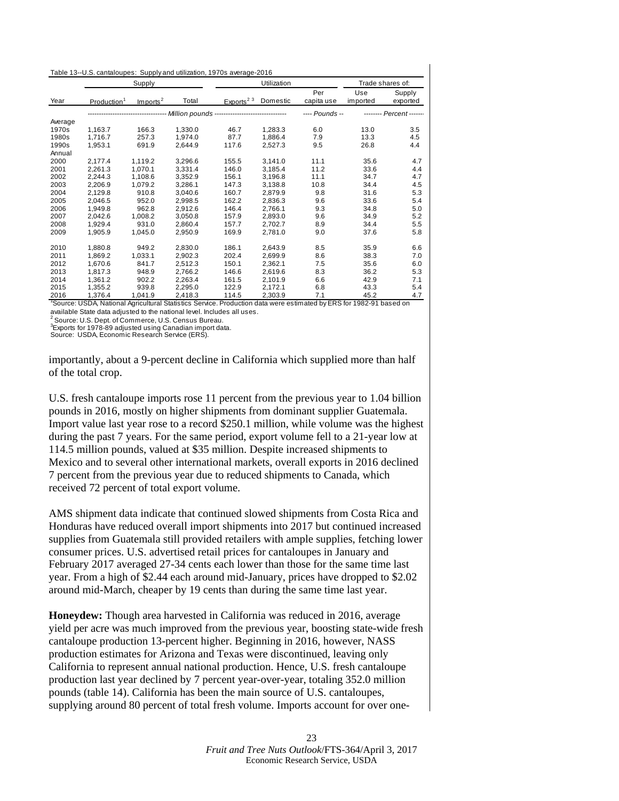| Table 13--U.S. cantaloupes: Supply and utilization, 1970s average-2016 |  |  |
|------------------------------------------------------------------------|--|--|
|------------------------------------------------------------------------|--|--|

|         | Supply                  |                      |                                        | Utilization           |          |                   | Trade shares of: |                          |
|---------|-------------------------|----------------------|----------------------------------------|-----------------------|----------|-------------------|------------------|--------------------------|
| Year    | Production <sup>1</sup> | Imports <sup>2</sup> | Total                                  | Exports <sup>23</sup> | Domestic | Per<br>capita use | Use<br>imported  | Supply<br>exported       |
|         |                         |                      | Million pounds ----------------------- |                       |          | ---- Pounds --    |                  | -------- Percent ------- |
| Average |                         |                      |                                        |                       |          |                   |                  |                          |
| 1970s   | 1,163.7                 | 166.3                | 1,330.0                                | 46.7                  | 1,283.3  | 6.0               | 13.0             | 3.5                      |
| 1980s   | 1.716.7                 | 257.3                | 1,974.0                                | 87.7                  | 1,886.4  | 7.9               | 13.3             | 4.5                      |
| 1990s   | 1,953.1                 | 691.9                | 2,644.9                                | 117.6                 | 2,527.3  | 9.5               | 26.8             | 4.4                      |
| Annual  |                         |                      |                                        |                       |          |                   |                  |                          |
| 2000    | 2,177.4                 | 1,119.2              | 3,296.6                                | 155.5                 | 3,141.0  | 11.1              | 35.6             | 4.7                      |
| 2001    | 2,261.3                 | 1,070.1              | 3,331.4                                | 146.0                 | 3,185.4  | 11.2              | 33.6             | 4.4                      |
| 2002    | 2,244.3                 | 1,108.6              | 3,352.9                                | 156.1                 | 3,196.8  | 11.1              | 34.7             | 4.7                      |
| 2003    | 2,206.9                 | 1,079.2              | 3,286.1                                | 147.3                 | 3,138.8  | 10.8              | 34.4             | 4.5                      |
| 2004    | 2,129.8                 | 910.8                | 3,040.6                                | 160.7                 | 2,879.9  | 9.8               | 31.6             | 5.3                      |
| 2005    | 2,046.5                 | 952.0                | 2,998.5                                | 162.2                 | 2,836.3  | 9.6               | 33.6             | 5.4                      |
| 2006    | 1,949.8                 | 962.8                | 2,912.6                                | 146.4                 | 2,766.1  | 9.3               | 34.8             | 5.0                      |
| 2007    | 2,042.6                 | 1,008.2              | 3,050.8                                | 157.9                 | 2,893.0  | 9.6               | 34.9             | 5.2                      |
| 2008    | 1,929.4                 | 931.0                | 2,860.4                                | 157.7                 | 2,702.7  | 8.9               | 34.4             | 5.5                      |
| 2009    | 1,905.9                 | 1,045.0              | 2,950.9                                | 169.9                 | 2,781.0  | 9.0               | 37.6             | 5.8                      |
| 2010    | 1,880.8                 | 949.2                | 2,830.0                                | 186.1                 | 2,643.9  | 8.5               | 35.9             | 6.6                      |
| 2011    | 1,869.2                 | 1,033.1              | 2,902.3                                | 202.4                 | 2,699.9  | 8.6               | 38.3             | 7.0                      |
| 2012    | 1,670.6                 | 841.7                | 2,512.3                                | 150.1                 | 2,362.1  | 7.5               | 35.6             | 6.0                      |
| 2013    | 1,817.3                 | 948.9                | 2,766.2                                | 146.6                 | 2,619.6  | 8.3               | 36.2             | 5.3                      |
| 2014    | 1,361.2                 | 902.2                | 2,263.4                                | 161.5                 | 2,101.9  | 6.6               | 42.9             | 7.1                      |
| 2015    | 1,355.2                 | 939.8                | 2,295.0                                | 122.9                 | 2,172.1  | 6.8               | 43.3             | 5.4                      |
| 2016    | 1.376.4                 | 1,041.9              | 2,418.3                                | 114.5                 | 2.303.9  | 7.1               | 45.2             | 4.7                      |

1 Source: USDA, National Agricultural Statistics Service. Production data were estimated by ERS for 1982-91 based on available State data adjusted to the national level. Includes all uses.

<sup>2</sup> Source: U.S. Dept. of Commerce, U.S. Census Bureau.

3 Exports for 1978-89 adjusted using Canadian import data.

Source: USDA, Economic Research Service (ERS).

importantly, about a 9-percent decline in California which supplied more than half of the total crop.

U.S. fresh cantaloupe imports rose 11 percent from the previous year to 1.04 billion pounds in 2016, mostly on higher shipments from dominant supplier Guatemala. Import value last year rose to a record \$250.1 million, while volume was the highest during the past 7 years. For the same period, export volume fell to a 21-year low at 114.5 million pounds, valued at \$35 million. Despite increased shipments to Mexico and to several other international markets, overall exports in 2016 declined 7 percent from the previous year due to reduced shipments to Canada, which received 72 percent of total export volume.

AMS shipment data indicate that continued slowed shipments from Costa Rica and Honduras have reduced overall import shipments into 2017 but continued increased supplies from Guatemala still provided retailers with ample supplies, fetching lower consumer prices. U.S. advertised retail prices for cantaloupes in January and February 2017 averaged 27-34 cents each lower than those for the same time last year. From a high of \$2.44 each around mid-January, prices have dropped to \$2.02 around mid-March, cheaper by 19 cents than during the same time last year.

**Honeydew:** Though area harvested in California was reduced in 2016, average yield per acre was much improved from the previous year, boosting state-wide fresh cantaloupe production 13-percent higher. Beginning in 2016, however, NASS production estimates for Arizona and Texas were discontinued, leaving only California to represent annual national production. Hence, U.S. fresh cantaloupe production last year declined by 7 percent year-over-year, totaling 352.0 million pounds (table 14). California has been the main source of U.S. cantaloupes, supplying around 80 percent of total fresh volume. Imports account for over one-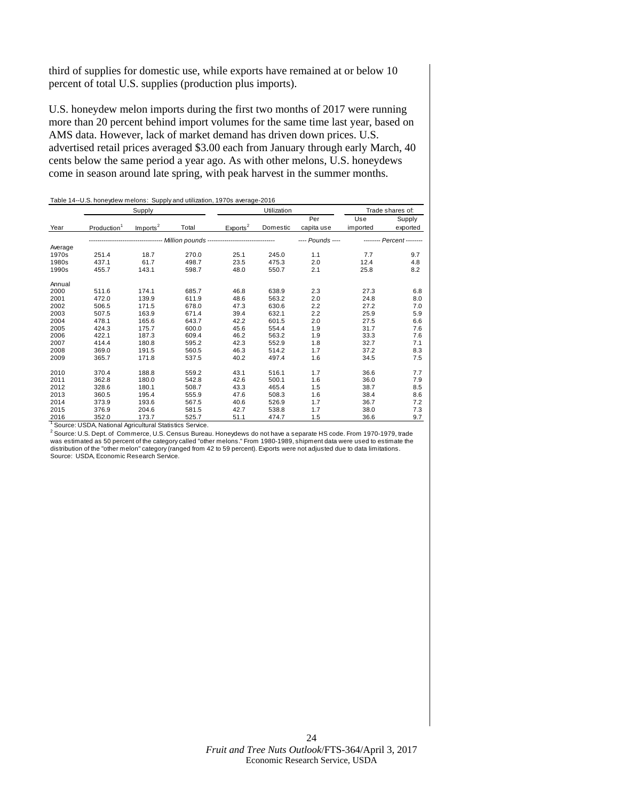third of supplies for domestic use, while exports have remained at or below 10 percent of total U.S. supplies (production plus imports).

U.S. honeydew melon imports during the first two months of 2017 were running more than 20 percent behind import volumes for the same time last year, based on AMS data. However, lack of market demand has driven down prices. U.S. advertised retail prices averaged \$3.00 each from January through early March, 40 cents below the same period a year ago. As with other melons, U.S. honeydews come in season around late spring, with peak harvest in the summer months.

|         | Supply                  |                      |                                                                   | Utilization          |          |                   | Trade shares of: |                           |
|---------|-------------------------|----------------------|-------------------------------------------------------------------|----------------------|----------|-------------------|------------------|---------------------------|
| Year    | Production <sup>1</sup> | Imports <sup>2</sup> | Total                                                             | Exports <sup>2</sup> | Domestic | Per<br>capita use | Use<br>imported  | Supply<br>exported        |
|         |                         |                      | ------------------ Million pounds ------------------------------- |                      |          | ---- Pounds ----  |                  | -------- Percent -------- |
| Average |                         |                      |                                                                   |                      |          |                   |                  |                           |
| 1970s   | 251.4                   | 18.7                 | 270.0                                                             | 25.1                 | 245.0    | 1.1               | 7.7              | 9.7                       |
| 1980s   | 437.1                   | 61.7                 | 498.7                                                             | 23.5                 | 475.3    | 2.0               | 12.4             | 4.8                       |
| 1990s   | 455.7                   | 143.1                | 598.7                                                             | 48.0                 | 550.7    | 2.1               | 25.8             | 8.2                       |
| Annual  |                         |                      |                                                                   |                      |          |                   |                  |                           |
| 2000    | 511.6                   | 174.1                | 685.7                                                             | 46.8                 | 638.9    | 2.3               | 27.3             | 6.8                       |
| 2001    | 472.0                   | 139.9                | 611.9                                                             | 48.6                 | 563.2    | 2.0               | 24.8             | 8.0                       |
| 2002    | 506.5                   | 171.5                | 678.0                                                             | 47.3                 | 630.6    | 2.2               | 27.2             | 7.0                       |
| 2003    | 507.5                   | 163.9                | 671.4                                                             | 39.4                 | 632.1    | 2.2               | 25.9             | 5.9                       |
| 2004    | 478.1                   | 165.6                | 643.7                                                             | 42.2                 | 601.5    | 2.0               | 27.5             | 6.6                       |
| 2005    | 424.3                   | 175.7                | 600.0                                                             | 45.6                 | 554.4    | 1.9               | 31.7             | 7.6                       |
| 2006    | 422.1                   | 187.3                | 609.4                                                             | 46.2                 | 563.2    | 1.9               | 33.3             | 7.6                       |
| 2007    | 414.4                   | 180.8                | 595.2                                                             | 42.3                 | 552.9    | 1.8               | 32.7             | 7.1                       |
| 2008    | 369.0                   | 191.5                | 560.5                                                             | 46.3                 | 514.2    | 1.7               | 37.2             | 8.3                       |
| 2009    | 365.7                   | 171.8                | 537.5                                                             | 40.2                 | 497.4    | 1.6               | 34.5             | 7.5                       |
| 2010    | 370.4                   | 188.8                | 559.2                                                             | 43.1                 | 516.1    | 1.7               | 36.6             | 7.7                       |
| 2011    | 362.8                   | 180.0                | 542.8                                                             | 42.6                 | 500.1    | 1.6               | 36.0             | 7.9                       |
| 2012    | 328.6                   | 180.1                | 508.7                                                             | 43.3                 | 465.4    | 1.5               | 38.7             | 8.5                       |
| 2013    | 360.5                   | 195.4                | 555.9                                                             | 47.6                 | 508.3    | 1.6               | 38.4             | 8.6                       |
| 2014    | 373.9                   | 193.6                | 567.5                                                             | 40.6                 | 526.9    | 1.7               | 36.7             | 7.2                       |
| 2015    | 376.9                   | 204.6                | 581.5                                                             | 42.7                 | 538.8    | 1.7               | 38.0             | 7.3                       |
| 2016    | 352.0                   | 173.7                | 525.7                                                             | 51.1                 | 474.7    | 1.5               | 36.6             | 9.7                       |

Table 14--U.S. honeydew melons: Supply and utilization, 1970s average-2016

<sup>1</sup> Source: USDA, National Agricultural Statistics Service.

 $^2$  Source: U.S. Dept. of Commerce, U.S. Census Bureau. Honeydews do not have a separate HS code. From 1970-1979, trade was estimated as 50 percent of the category called "other melons." From 1980-1989, shipment data were used to estimate the distribution of the "other melon" category (ranged from 42 to 59 percent). Exports were not adjusted due to data limitations. Source: USDA, Economic Research Service.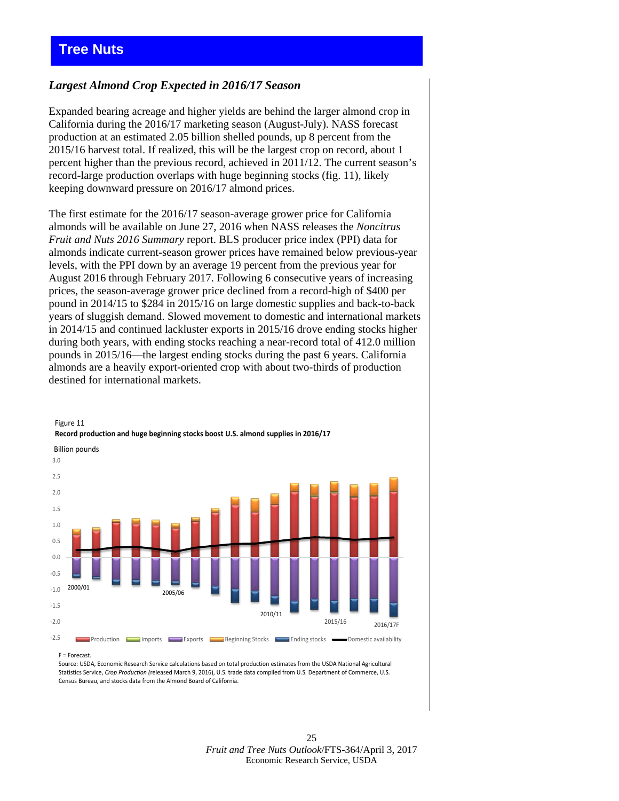### <span id="page-24-0"></span>*Largest Almond Crop Expected in 2016/17 Season*

Expanded bearing acreage and higher yields are behind the larger almond crop in California during the 2016/17 marketing season (August-July). NASS forecast production at an estimated 2.05 billion shelled pounds, up 8 percent from the 2015/16 harvest total. If realized, this will be the largest crop on record, about 1 percent higher than the previous record, achieved in 2011/12. The current season's record-large production overlaps with huge beginning stocks (fig. 11), likely keeping downward pressure on 2016/17 almond prices.

The first estimate for the 2016/17 season-average grower price for California almonds will be available on June 27, 2016 when NASS releases the *Noncitrus Fruit and Nuts 2016 Summary* report. BLS producer price index (PPI) data for almonds indicate current-season grower prices have remained below previous-year levels, with the PPI down by an average 19 percent from the previous year for August 2016 through February 2017. Following 6 consecutive years of increasing prices, the season-average grower price declined from a record-high of \$400 per pound in 2014/15 to \$284 in 2015/16 on large domestic supplies and back-to-back years of sluggish demand. Slowed movement to domestic and international markets in 2014/15 and continued lackluster exports in 2015/16 drove ending stocks higher during both years, with ending stocks reaching a near-record total of 412.0 million pounds in 2015/16—the largest ending stocks during the past 6 years. California almonds are a heavily export-oriented crop with about two-thirds of production destined for international markets.



### Figure 11 **Record production and huge beginning stocks boost U.S. almond supplies in 2016/17**

F = Forecast.

Source: USDA, Economic Research Service calculations based on total production estimates from the USDA National Agricultural Statistics Service, *Crop Production (*released March 9, 2016), U.S. trade data compiled from U.S. Department of Commerce, U.S. Census Bureau, and stocks data from the Almond Board of California.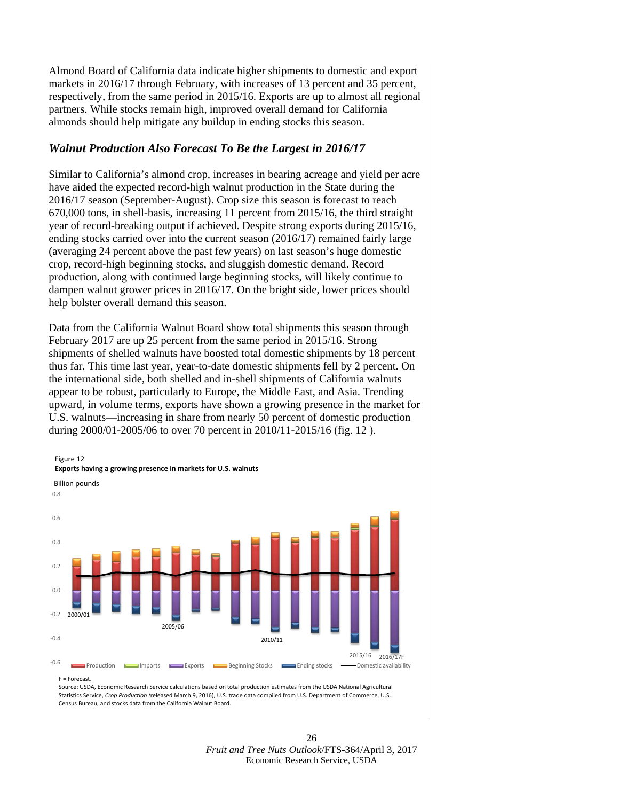Almond Board of California data indicate higher shipments to domestic and export markets in 2016/17 through February, with increases of 13 percent and 35 percent, respectively, from the same period in 2015/16. Exports are up to almost all regional partners. While stocks remain high, improved overall demand for California almonds should help mitigate any buildup in ending stocks this season.

### *Walnut Production Also Forecast To Be the Largest in 2016/17*

Similar to California's almond crop, increases in bearing acreage and yield per acre have aided the expected record-high walnut production in the State during the 2016/17 season (September-August). Crop size this season is forecast to reach 670,000 tons, in shell-basis, increasing 11 percent from 2015/16, the third straight year of record-breaking output if achieved. Despite strong exports during 2015/16, ending stocks carried over into the current season (2016/17) remained fairly large (averaging 24 percent above the past few years) on last season's huge domestic crop, record-high beginning stocks, and sluggish domestic demand. Record production, along with continued large beginning stocks, will likely continue to dampen walnut grower prices in 2016/17. On the bright side, lower prices should help bolster overall demand this season.

Data from the California Walnut Board show total shipments this season through February 2017 are up 25 percent from the same period in 2015/16. Strong shipments of shelled walnuts have boosted total domestic shipments by 18 percent thus far. This time last year, year-to-date domestic shipments fell by 2 percent. On the international side, both shelled and in-shell shipments of California walnuts appear to be robust, particularly to Europe, the Middle East, and Asia. Trending upward, in volume terms, exports have shown a growing presence in the market for U.S. walnuts—increasing in share from nearly 50 percent of domestic production during 2000/01-2005/06 to over 70 percent in 2010/11-2015/16 (fig. 12 ).



F = Forecast.

Source: USDA, Economic Research Service calculations based on total production estimates from the USDA National Agricultural Statistics Service, *Crop Production (*released March 9, 2016), U.S. trade data compiled from U.S. Department of Commerce, U.S. Census Bureau, and stocks data from the California Walnut Board.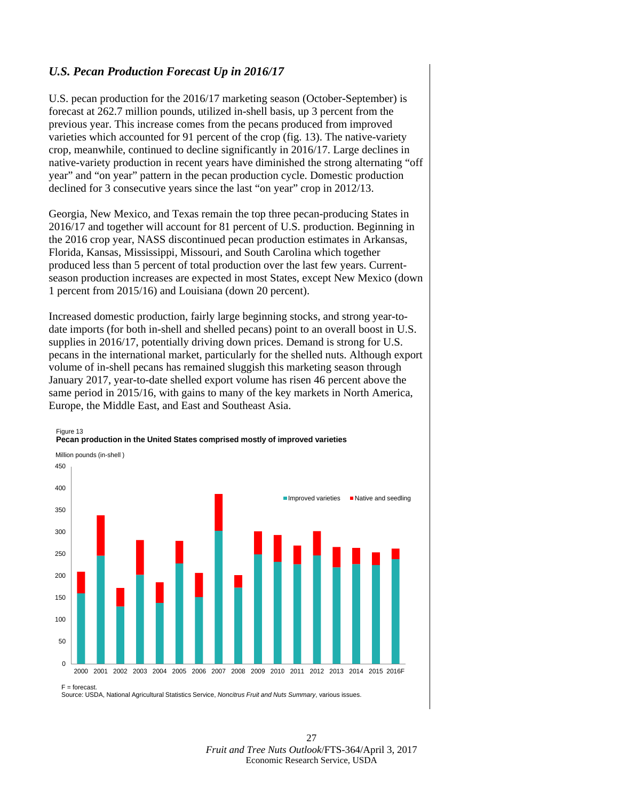### *U.S. Pecan Production Forecast Up in 2016/17*

U.S. pecan production for the 2016/17 marketing season (October-September) is forecast at 262.7 million pounds, utilized in-shell basis, up 3 percent from the previous year. This increase comes from the pecans produced from improved varieties which accounted for 91 percent of the crop (fig. 13). The native-variety crop, meanwhile, continued to decline significantly in 2016/17. Large declines in native-variety production in recent years have diminished the strong alternating "off year" and "on year" pattern in the pecan production cycle. Domestic production declined for 3 consecutive years since the last "on year" crop in 2012/13.

Georgia, New Mexico, and Texas remain the top three pecan-producing States in 2016/17 and together will account for 81 percent of U.S. production. Beginning in the 2016 crop year, NASS discontinued pecan production estimates in Arkansas, Florida, Kansas, Mississippi, Missouri, and South Carolina which together produced less than 5 percent of total production over the last few years. Currentseason production increases are expected in most States, except New Mexico (down 1 percent from 2015/16) and Louisiana (down 20 percent).

Increased domestic production, fairly large beginning stocks, and strong year-todate imports (for both in-shell and shelled pecans) point to an overall boost in U.S. supplies in 2016/17, potentially driving down prices. Demand is strong for U.S. pecans in the international market, particularly for the shelled nuts. Although export volume of in-shell pecans has remained sluggish this marketing season through January 2017, year-to-date shelled export volume has risen 46 percent above the same period in 2015/16, with gains to many of the key markets in North America, Europe, the Middle East, and East and Southeast Asia.



Source: USDA, National Agricultural Statistics Service, *Noncitrus Fruit and Nuts Summary*, various issues.